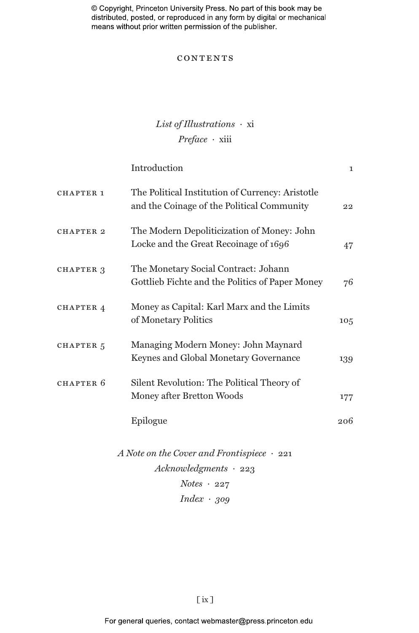© Copyright, Princeton University Press. No part of this book may be distributed, posted, or reproduced in any form by digital or mechanical means without prior written permission of the publisher.

### **CONTENTS**

# *List of Illustrations ·* xi *Preface ·* xiii

|                      | Introduction                                                                                   | $\mathbf{I}$ |
|----------------------|------------------------------------------------------------------------------------------------|--------------|
| CHAPTER 1            | The Political Institution of Currency: Aristotle<br>and the Coinage of the Political Community | 22           |
| <b>CHAPTER 2</b>     | The Modern Depoliticization of Money: John<br>Locke and the Great Recoinage of 1696            | 47           |
| CHAPTER 3            | The Monetary Social Contract: Johann<br>Gottlieb Fichte and the Politics of Paper Money        | 76           |
| CHAPTER 4            | Money as Capital: Karl Marx and the Limits<br>of Monetary Politics                             | 105          |
| CHAPTER <sub>5</sub> | Managing Modern Money: John Maynard<br>Keynes and Global Monetary Governance                   | 139          |
| CHAPTER 6            | Silent Revolution: The Political Theory of<br>Money after Bretton Woods                        | 177          |
|                      | Epilogue                                                                                       | 206          |
|                      |                                                                                                |              |

*A Note on the Cover and Frontispiece ·* 221 *Acknowledgments ·* 223 *Notes ·* 227 *Index · 309*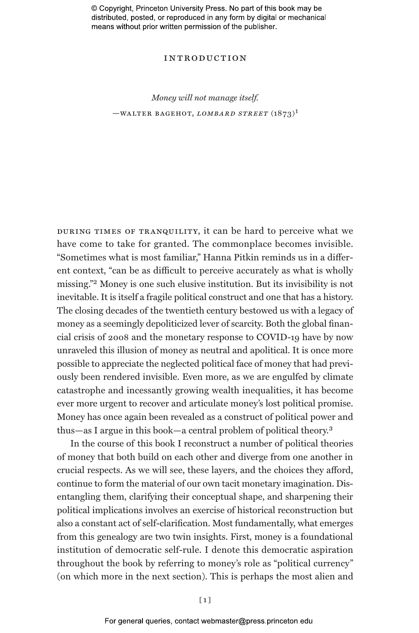© Copyright, Princeton University Press. No part of this book may be distributed, posted, or reproduced in any form by digital or mechanical means without prior written permission of the publisher.

### introduction

# *Money will not manage itself.* —walter bagehot, *lombard street* (1873)1

during times of tranquility, it can be hard to perceive what we have come to take for granted. The commonplace becomes invisible. "Sometimes what is most familiar," Hanna Pitkin reminds us in a different context, "can be as difficult to perceive accurately as what is wholly missing."2 Money is one such elusive institution. But its invisibility is not inevitable. It is itself a fragile political construct and one that has a history. The closing decades of the twentieth century bestowed us with a legacy of money as a seemingly depoliticized lever of scarcity. Both the global financial crisis of 2008 and the monetary response to COVID-19 have by now unraveled this illusion of money as neutral and apolitical. It is once more possible to appreciate the neglected political face of money that had previously been rendered invisible. Even more, as we are engulfed by climate catastrophe and incessantly growing wealth inequalities, it has become ever more urgent to recover and articulate money's lost political promise. Money has once again been revealed as a construct of political power and thus—as I argue in this book—a central problem of political theory.3

In the course of this book I reconstruct a number of political theories of money that both build on each other and diverge from one another in crucial respects. As we will see, these layers, and the choices they afford, continue to form the material of our own tacit monetary imagination. Disentangling them, clarifying their conceptual shape, and sharpening their political implications involves an exercise of historical reconstruction but also a constant act of self-clarification. Most fundamentally, what emerges from this genealogy are two twin insights. First, money is a foundational institution of democratic self-rule. I denote this democratic aspiration throughout the book by referring to money's role as "political currency" (on which more in the next section). This is perhaps the most alien and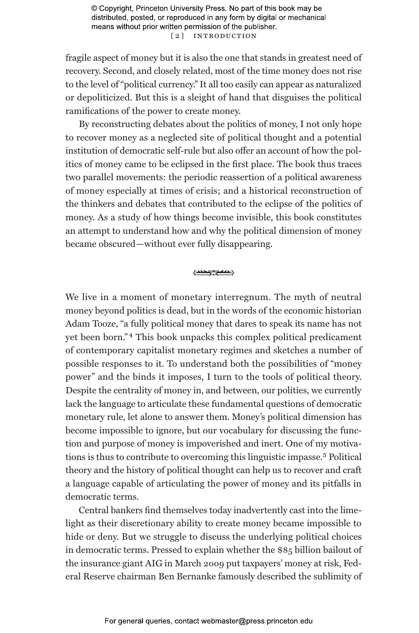© Copyright, Princeton University Press. No part of this book may be distributed, posted, or reproduced in any form by digital or mechanical means without prior written permission of the publisher. [ 2 ] Introduction

fragile aspect of money but it is also the one that stands in greatest need of recovery. Second, and closely related, most of the time money does not rise to the level of "political currency." It all too easily can appear as naturalized or depoliticized. But this is a sleight of hand that disguises the political ramifications of the power to create money.

By reconstructing debates about the politics of money, I not only hope to recover money as a neglected site of political thought and a potential institution of democratic self-rule but also offer an account of how the politics of money came to be eclipsed in the first place. The book thus traces two parallel movements: the periodic reassertion of a political awareness of money especially at times of crisis; and a historical reconstruction of the thinkers and debates that contributed to the eclipse of the politics of money. As a study of how things become invisible, this book constitutes an attempt to understand how and why the political dimension of money became obscured—without ever fully disappearing.

#### **<u>Room Company</u>**

We live in a moment of monetary interregnum. The myth of neutral money beyond politics is dead, but in the words of the economic historian Adam Tooze, "a fully political money that dares to speak its name has not yet been born." 4 This book unpacks this complex political predicament of contemporary capitalist monetary regimes and sketches a number of possible responses to it. To understand both the possibilities of "money power" and the binds it imposes, I turn to the tools of political theory. Despite the centrality of money in, and between, our polities, we currently lack the language to articulate these fundamental questions of democratic monetary rule, let alone to answer them. Money's political dimension has become impossible to ignore, but our vocabulary for discussing the function and purpose of money is impoverished and inert. One of my motivations is thus to contribute to overcoming this linguistic impasse.<sup>5</sup> Political theory and the history of political thought can help us to recover and craft a language capable of articulating the power of money and its pitfalls in democratic terms.

Central bankers find themselves today inadvertently cast into the limelight as their discretionary ability to create money became impossible to hide or deny. But we struggle to discuss the underlying political choices in democratic terms. Pressed to explain whether the \$85 billion bailout of the insurance giant AIG in March 2009 put taxpayers' money at risk, Federal Reserve chairman Ben Bernanke famously described the sublimity of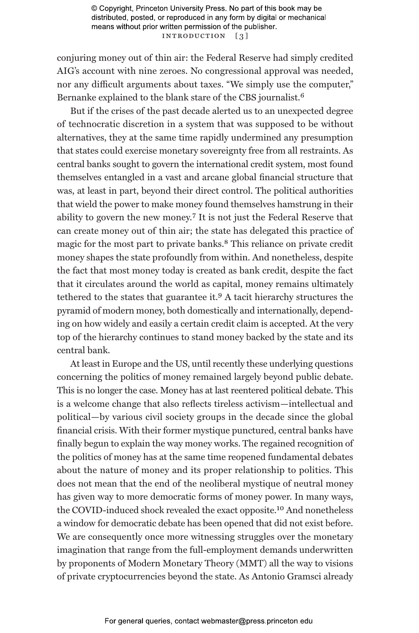© Copyright, Princeton University Press. No part of this book may be distributed, posted, or reproduced in any form by digital or mechanical means without prior written permission of the publisher. INTRODUCTION [3]

conjuring money out of thin air: the Federal Reserve had simply credited AIG's account with nine zeroes. No congressional approval was needed, nor any difficult arguments about taxes. "We simply use the computer," Bernanke explained to the blank stare of the CBS journalist.6

But if the crises of the past decade alerted us to an unexpected degree of technocratic discretion in a system that was supposed to be without alternatives, they at the same time rapidly undermined any presumption that states could exercise monetary sovereignty free from all restraints. As central banks sought to govern the international credit system, most found themselves entangled in a vast and arcane global financial structure that was, at least in part, beyond their direct control. The political authorities that wield the power to make money found themselves hamstrung in their ability to govern the new money.7 It is not just the Federal Reserve that can create money out of thin air; the state has delegated this practice of magic for the most part to private banks.8 This reliance on private credit money shapes the state profoundly from within. And nonetheless, despite the fact that most money today is created as bank credit, despite the fact that it circulates around the world as capital, money remains ultimately tethered to the states that guarantee it.9 A tacit hierarchy structures the pyramid of modern money, both domestically and internationally, depending on how widely and easily a certain credit claim is accepted. At the very top of the hierarchy continues to stand money backed by the state and its central bank.

At least in Europe and the US, until recently these underlying questions concerning the politics of money remained largely beyond public debate. This is no longer the case. Money has at last reentered political debate. This is a welcome change that also reflects tireless activism—intellectual and political—by various civil society groups in the decade since the global financial crisis. With their former mystique punctured, central banks have finally begun to explain the way money works. The regained recognition of the politics of money has at the same time reopened fundamental debates about the nature of money and its proper relationship to politics. This does not mean that the end of the neoliberal mystique of neutral money has given way to more democratic forms of money power. In many ways, the COVID-induced shock revealed the exact opposite.10 And nonetheless a window for democratic debate has been opened that did not exist before. We are consequently once more witnessing struggles over the monetary imagination that range from the full-employment demands underwritten by proponents of Modern Monetary Theory (MMT) all the way to visions of private cryptocurrencies beyond the state. As Antonio Gramsci already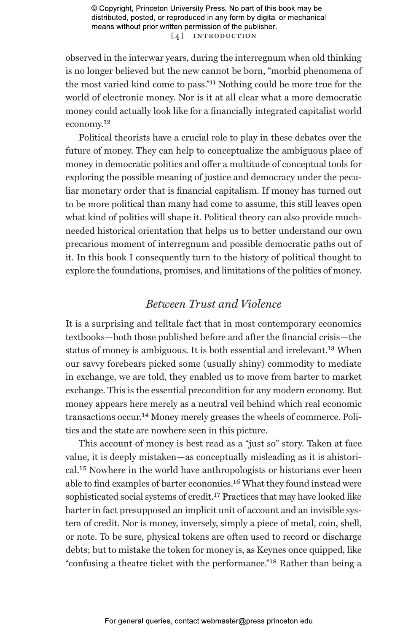© Copyright, Princeton University Press. No part of this book may be distributed, posted, or reproduced in any form by digital or mechanical means without prior written permission of the publisher. [4] INTRODUCTION

observed in the interwar years, during the interregnum when old thinking is no longer believed but the new cannot be born, "morbid phenomena of the most varied kind come to pass."11 Nothing could be more true for the world of electronic money. Nor is it at all clear what a more democratic money could actually look like for a financially integrated capitalist world economy.12

Political theorists have a crucial role to play in these debates over the future of money. They can help to conceptualize the ambiguous place of money in democratic politics and offer a multitude of conceptual tools for exploring the possible meaning of justice and democracy under the peculiar monetary order that is financial capitalism. If money has turned out to be more political than many had come to assume, this still leaves open what kind of politics will shape it. Political theory can also provide muchneeded historical orientation that helps us to better understand our own precarious moment of interregnum and possible democratic paths out of it. In this book I consequently turn to the history of political thought to explore the foundations, promises, and limitations of the politics of money.

### *Between Trust and Violence*

It is a surprising and telltale fact that in most contemporary economics textbooks—both those published before and after the financial crisis—the status of money is ambiguous. It is both essential and irrelevant.<sup>13</sup> When our savvy forebears picked some (usually shiny) commodity to mediate in exchange, we are told, they enabled us to move from barter to market exchange. This is the essential precondition for any modern economy. But money appears here merely as a neutral veil behind which real economic transactions occur.14 Money merely greases the wheels of commerce. Politics and the state are nowhere seen in this picture.

This account of money is best read as a "just so" story. Taken at face value, it is deeply mistaken—as conceptually misleading as it is ahistorical.15 Nowhere in the world have anthropologists or historians ever been able to find examples of barter economies.16 What they found instead were sophisticated social systems of credit.<sup>17</sup> Practices that may have looked like barter in fact presupposed an implicit unit of account and an invisible system of credit. Nor is money, inversely, simply a piece of metal, coin, shell, or note. To be sure, physical tokens are often used to record or discharge debts; but to mistake the token for money is, as Keynes once quipped, like "confusing a theatre ticket with the performance."18 Rather than being a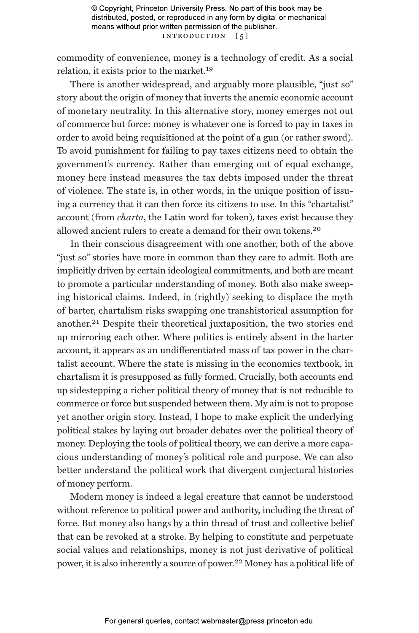commodity of convenience, money is a technology of credit. As a social relation, it exists prior to the market.19

There is another widespread, and arguably more plausible, "just so" story about the origin of money that inverts the anemic economic account of monetary neutrality. In this alternative story, money emerges not out of commerce but force: money is whatever one is forced to pay in taxes in order to avoid being requisitioned at the point of a gun (or rather sword). To avoid punishment for failing to pay taxes citizens need to obtain the government's currency. Rather than emerging out of equal exchange, money here instead measures the tax debts imposed under the threat of violence. The state is, in other words, in the unique position of issuing a currency that it can then force its citizens to use. In this "chartalist" account (from *charta*, the Latin word for token), taxes exist because they allowed ancient rulers to create a demand for their own tokens.20

In their conscious disagreement with one another, both of the above "just so" stories have more in common than they care to admit. Both are implicitly driven by certain ideological commitments, and both are meant to promote a particular understanding of money. Both also make sweeping historical claims. Indeed, in (rightly) seeking to displace the myth of barter, chartalism risks swapping one transhistorical assumption for another.21 Despite their theoretical juxtaposition, the two stories end up mirroring each other. Where politics is entirely absent in the barter account, it appears as an undifferentiated mass of tax power in the chartalist account. Where the state is missing in the economics textbook, in chartalism it is presupposed as fully formed. Crucially, both accounts end up sidestepping a richer political theory of money that is not reducible to commerce or force but suspended between them. My aim is not to propose yet another origin story. Instead, I hope to make explicit the underlying political stakes by laying out broader debates over the political theory of money. Deploying the tools of political theory, we can derive a more capacious understanding of money's political role and purpose. We can also better understand the political work that divergent conjectural histories of money perform.

Modern money is indeed a legal creature that cannot be understood without reference to political power and authority, including the threat of force. But money also hangs by a thin thread of trust and collective belief that can be revoked at a stroke. By helping to constitute and perpetuate social values and relationships, money is not just derivative of political power, it is also inherently a source of power.22 Money has a political life of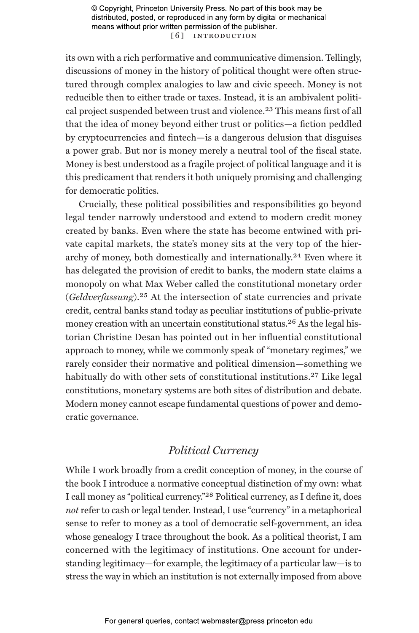© Copyright, Princeton University Press. No part of this book may be distributed, posted, or reproduced in any form by digital or mechanical means without prior written permission of the publisher. [6] INTRODUCTION

its own with a rich performative and communicative dimension. Tellingly, discussions of money in the history of political thought were often structured through complex analogies to law and civic speech. Money is not reducible then to either trade or taxes. Instead, it is an ambivalent political project suspended between trust and violence.<sup>23</sup> This means first of all that the idea of money beyond either trust or politics—a fiction peddled by cryptocurrencies and fintech—is a dangerous delusion that disguises a power grab. But nor is money merely a neutral tool of the fiscal state. Money is best understood as a fragile project of political language and it is this predicament that renders it both uniquely promising and challenging for democratic politics.

Crucially, these political possibilities and responsibilities go beyond legal tender narrowly understood and extend to modern credit money created by banks. Even where the state has become entwined with private capital markets, the state's money sits at the very top of the hierarchy of money, both domestically and internationally.24 Even where it has delegated the provision of credit to banks, the modern state claims a monopoly on what Max Weber called the constitutional monetary order (*Geldverfassung*).25 At the intersection of state currencies and private credit, central banks stand today as peculiar institutions of public-private money creation with an uncertain constitutional status.<sup>26</sup> As the legal historian Christine Desan has pointed out in her influential constitutional approach to money, while we commonly speak of "monetary regimes," we rarely consider their normative and political dimension—something we habitually do with other sets of constitutional institutions.<sup>27</sup> Like legal constitutions, monetary systems are both sites of distribution and debate. Modern money cannot escape fundamental questions of power and democratic governance.

### *Political Currency*

While I work broadly from a credit conception of money, in the course of the book I introduce a normative conceptual distinction of my own: what I call money as "political currency."28 Political currency, as I define it, does *not* refer to cash or legal tender. Instead, I use "currency" in a metaphorical sense to refer to money as a tool of democratic self-government, an idea whose genealogy I trace throughout the book. As a political theorist, I am concerned with the legitimacy of institutions. One account for understanding legitimacy—for example, the legitimacy of a particular law—is to stress the way in which an institution is not externally imposed from above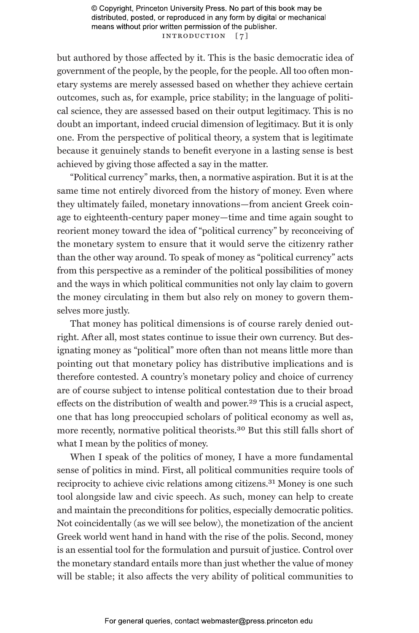© Copyright, Princeton University Press. No part of this book may be distributed, posted, or reproduced in any form by digital or mechanical means without prior written permission of the publisher. INTRODUCTION [7]

but authored by those affected by it. This is the basic democratic idea of government of the people, by the people, for the people. All too often monetary systems are merely assessed based on whether they achieve certain outcomes, such as, for example, price stability; in the language of political science, they are assessed based on their output legitimacy. This is no doubt an important, indeed crucial dimension of legitimacy. But it is only one. From the perspective of political theory, a system that is legitimate because it genuinely stands to benefit everyone in a lasting sense is best achieved by giving those affected a say in the matter.

"Political currency" marks, then, a normative aspiration. But it is at the same time not entirely divorced from the history of money. Even where they ultimately failed, monetary innovations—from ancient Greek coinage to eighteenth-century paper money—time and time again sought to reorient money toward the idea of "political currency" by reconceiving of the monetary system to ensure that it would serve the citizenry rather than the other way around. To speak of money as "political currency" acts from this perspective as a reminder of the political possibilities of money and the ways in which political communities not only lay claim to govern the money circulating in them but also rely on money to govern themselves more justly.

That money has political dimensions is of course rarely denied outright. After all, most states continue to issue their own currency. But designating money as "political" more often than not means little more than pointing out that monetary policy has distributive implications and is therefore contested. A country's monetary policy and choice of currency are of course subject to intense political contestation due to their broad effects on the distribution of wealth and power.<sup>29</sup> This is a crucial aspect, one that has long preoccupied scholars of political economy as well as, more recently, normative political theorists.30 But this still falls short of what I mean by the politics of money.

When I speak of the politics of money, I have a more fundamental sense of politics in mind. First, all political communities require tools of reciprocity to achieve civic relations among citizens.<sup>31</sup> Money is one such tool alongside law and civic speech. As such, money can help to create and maintain the preconditions for politics, especially democratic politics. Not coincidentally (as we will see below), the monetization of the ancient Greek world went hand in hand with the rise of the polis. Second, money is an essential tool for the formulation and pursuit of justice. Control over the monetary standard entails more than just whether the value of money will be stable; it also affects the very ability of political communities to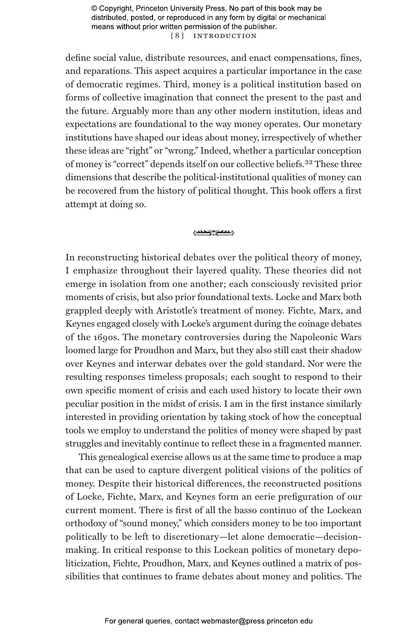© Copyright, Princeton University Press. No part of this book may be distributed, posted, or reproduced in any form by digital or mechanical means without prior written permission of the publisher. [ 8 ] Introduction

define social value, distribute resources, and enact compensations, fines, and reparations. This aspect acquires a particular importance in the case of democratic regimes. Third, money is a political institution based on forms of collective imagination that connect the present to the past and the future. Arguably more than any other modern institution, ideas and expectations are foundational to the way money operates. Our monetary institutions have shaped our ideas about money, irrespectively of whether these ideas are "right" or "wrong." Indeed, whether a particular conception of money is "correct" depends itself on our collective beliefs.32 These three dimensions that describe the political-institutional qualities of money can be recovered from the history of political thought. This book offers a first attempt at doing so.

#### **<u>Room Case</u>**

In reconstructing historical debates over the political theory of money, I emphasize throughout their layered quality. These theories did not emerge in isolation from one another; each consciously revisited prior moments of crisis, but also prior foundational texts. Locke and Marx both grappled deeply with Aristotle's treatment of money. Fichte, Marx, and Keynes engaged closely with Locke's argument during the coinage debates of the 1690s. The monetary controversies during the Napoleonic Wars loomed large for Proudhon and Marx, but they also still cast their shadow over Keynes and interwar debates over the gold standard. Nor were the resulting responses timeless proposals; each sought to respond to their own specific moment of crisis and each used history to locate their own peculiar position in the midst of crisis. I am in the first instance similarly interested in providing orientation by taking stock of how the conceptual tools we employ to understand the politics of money were shaped by past struggles and inevitably continue to reflect these in a fragmented manner.

This genealogical exercise allows us at the same time to produce a map that can be used to capture divergent political visions of the politics of money. Despite their historical differences, the reconstructed positions of Locke, Fichte, Marx, and Keynes form an eerie prefiguration of our current moment. There is first of all the basso continuo of the Lockean orthodoxy of "sound money," which considers money to be too important politically to be left to discretionary—let alone democratic—decisionmaking. In critical response to this Lockean politics of monetary depoliticization, Fichte, Proudhon, Marx, and Keynes outlined a matrix of possibilities that continues to frame debates about money and politics. The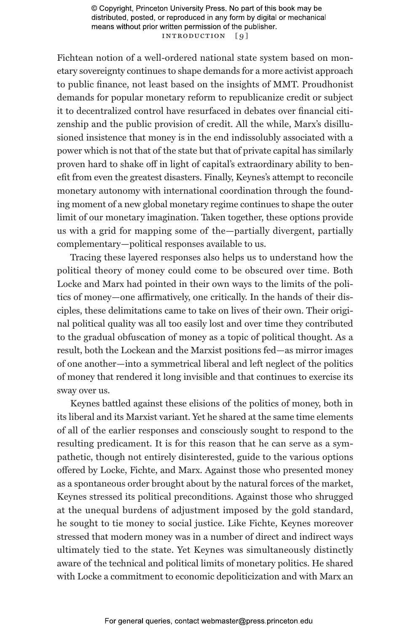© Copyright, Princeton University Press. No part of this book may be distributed, posted, or reproduced in any form by digital or mechanical means without prior written permission of the publisher. INTRODUCTION [9]

Fichtean notion of a well-ordered national state system based on monetary sovereignty continues to shape demands for a more activist approach to public finance, not least based on the insights of MMT. Proudhonist demands for popular monetary reform to republicanize credit or subject it to decentralized control have resurfaced in debates over financial citizenship and the public provision of credit. All the while, Marx's disillusioned insistence that money is in the end indissolubly associated with a power which is not that of the state but that of private capital has similarly proven hard to shake off in light of capital's extraordinary ability to benefit from even the greatest disasters. Finally, Keynes's attempt to reconcile monetary autonomy with international coordination through the founding moment of a new global monetary regime continues to shape the outer limit of our monetary imagination. Taken together, these options provide us with a grid for mapping some of the—partially divergent, partially complementary—political responses available to us.

Tracing these layered responses also helps us to understand how the political theory of money could come to be obscured over time. Both Locke and Marx had pointed in their own ways to the limits of the politics of money—one affirmatively, one critically. In the hands of their disciples, these delimitations came to take on lives of their own. Their original political quality was all too easily lost and over time they contributed to the gradual obfuscation of money as a topic of political thought. As a result, both the Lockean and the Marxist positions fed—as mirror images of one another—into a symmetrical liberal and left neglect of the politics of money that rendered it long invisible and that continues to exercise its sway over us.

Keynes battled against these elisions of the politics of money, both in its liberal and its Marxist variant. Yet he shared at the same time elements of all of the earlier responses and consciously sought to respond to the resulting predicament. It is for this reason that he can serve as a sympathetic, though not entirely disinterested, guide to the various options offered by Locke, Fichte, and Marx. Against those who presented money as a spontaneous order brought about by the natural forces of the market, Keynes stressed its political preconditions. Against those who shrugged at the unequal burdens of adjustment imposed by the gold standard, he sought to tie money to social justice. Like Fichte, Keynes moreover stressed that modern money was in a number of direct and indirect ways ultimately tied to the state. Yet Keynes was simultaneously distinctly aware of the technical and political limits of monetary politics. He shared with Locke a commitment to economic depoliticization and with Marx an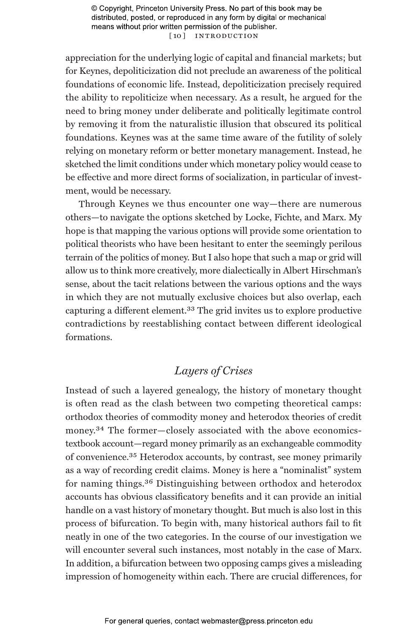© Copyright, Princeton University Press. No part of this book may be distributed, posted, or reproduced in any form by digital or mechanical means without prior written permission of the publisher. [10] INTRODUCTION

appreciation for the underlying logic of capital and financial markets; but for Keynes, depoliticization did not preclude an awareness of the political foundations of economic life. Instead, depoliticization precisely required the ability to repoliticize when necessary. As a result, he argued for the need to bring money under deliberate and politically legitimate control by removing it from the naturalistic illusion that obscured its political foundations. Keynes was at the same time aware of the futility of solely relying on monetary reform or better monetary management. Instead, he sketched the limit conditions under which monetary policy would cease to be effective and more direct forms of socialization, in particular of investment, would be necessary.

Through Keynes we thus encounter one way—there are numerous others—to navigate the options sketched by Locke, Fichte, and Marx. My hope is that mapping the various options will provide some orientation to political theorists who have been hesitant to enter the seemingly perilous terrain of the politics of money. But I also hope that such a map or grid will allow us to think more creatively, more dialectically in Albert Hirschman's sense, about the tacit relations between the various options and the ways in which they are not mutually exclusive choices but also overlap, each capturing a different element.33 The grid invites us to explore productive contradictions by reestablishing contact between different ideological formations.

## *Layers of Crises*

Instead of such a layered genealogy, the history of monetary thought is often read as the clash between two competing theoretical camps: orthodox theories of commodity money and heterodox theories of credit money.34 The former—closely associated with the above economicstextbook account—regard money primarily as an exchangeable commodity of convenience.35 Heterodox accounts, by contrast, see money primarily as a way of recording credit claims. Money is here a "nominalist" system for naming things.36 Distinguishing between orthodox and heterodox accounts has obvious classificatory benefits and it can provide an initial handle on a vast history of monetary thought. But much is also lost in this process of bifurcation. To begin with, many historical authors fail to fit neatly in one of the two categories. In the course of our investigation we will encounter several such instances, most notably in the case of Marx. In addition, a bifurcation between two opposing camps gives a misleading impression of homogeneity within each. There are crucial differences, for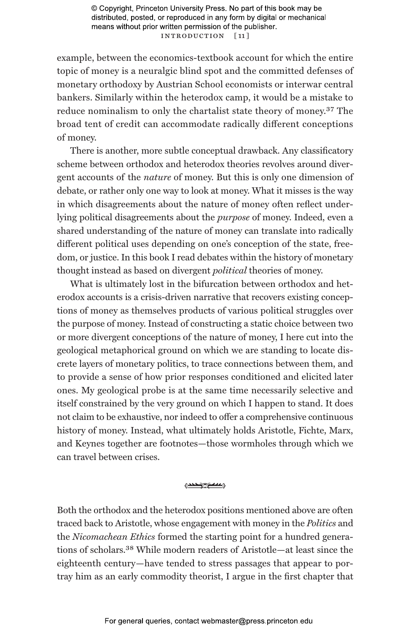© Copyright, Princeton University Press. No part of this book may be distributed, posted, or reproduced in any form by digital or mechanical means without prior written permission of the publisher. Introduction [ 11 ]

example, between the economics-textbook account for which the entire topic of money is a neuralgic blind spot and the committed defenses of monetary orthodoxy by Austrian School economists or interwar central bankers. Similarly within the heterodox camp, it would be a mistake to reduce nominalism to only the chartalist state theory of money.37 The broad tent of credit can accommodate radically different conceptions of money.

There is another, more subtle conceptual drawback. Any classificatory scheme between orthodox and heterodox theories revolves around divergent accounts of the *nature* of money. But this is only one dimension of debate, or rather only one way to look at money. What it misses is the way in which disagreements about the nature of money often reflect underlying political disagreements about the *purpose* of money. Indeed, even a shared understanding of the nature of money can translate into radically different political uses depending on one's conception of the state, freedom, or justice. In this book I read debates within the history of monetary thought instead as based on divergent *political* theories of money.

What is ultimately lost in the bifurcation between orthodox and heterodox accounts is a crisis-driven narrative that recovers existing conceptions of money as themselves products of various political struggles over the purpose of money. Instead of constructing a static choice between two or more divergent conceptions of the nature of money, I here cut into the geological metaphorical ground on which we are standing to locate discrete layers of monetary politics, to trace connections between them, and to provide a sense of how prior responses conditioned and elicited later ones. My geological probe is at the same time necessarily selective and itself constrained by the very ground on which I happen to stand. It does not claim to be exhaustive, nor indeed to offer a comprehensive continuous history of money. Instead, what ultimately holds Aristotle, Fichte, Marx, and Keynes together are footnotes—those wormholes through which we can travel between crises.

#### 1000 m party

Both the orthodox and the heterodox positions mentioned above are often traced back to Aristotle, whose engagement with money in the *Politics* and the *Nicomachean Ethics* formed the starting point for a hundred generations of scholars.38 While modern readers of Aristotle—at least since the eighteenth century—have tended to stress passages that appear to portray him as an early commodity theorist, I argue in the first chapter that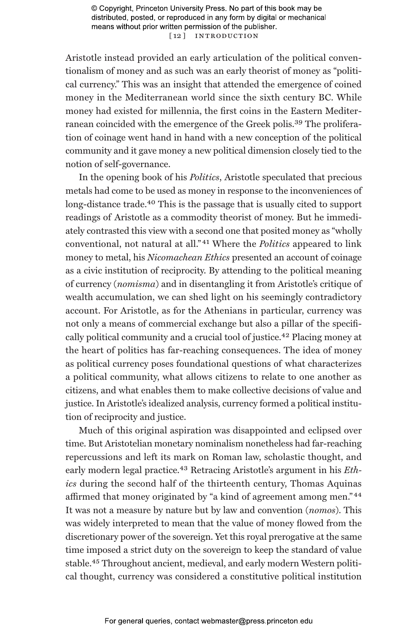© Copyright, Princeton University Press. No part of this book may be distributed, posted, or reproduced in any form by digital or mechanical means without prior written permission of the publisher. [12] INTRODUCTION

Aristotle instead provided an early articulation of the political conventionalism of money and as such was an early theorist of money as "political currency." This was an insight that attended the emergence of coined money in the Mediterranean world since the sixth century BC. While money had existed for millennia, the first coins in the Eastern Mediterranean coincided with the emergence of the Greek polis.39 The proliferation of coinage went hand in hand with a new conception of the political community and it gave money a new political dimension closely tied to the notion of self-governance.

In the opening book of his *Politics*, Aristotle speculated that precious metals had come to be used as money in response to the inconveniences of long-distance trade.<sup>40</sup> This is the passage that is usually cited to support readings of Aristotle as a commodity theorist of money. But he immediately contrasted this view with a second one that posited money as "wholly conventional, not natural at all." 41 Where the *Politics* appeared to link money to metal, his *Nicomachean Ethics* presented an account of coinage as a civic institution of reciprocity. By attending to the political meaning of currency (*nomisma*) and in disentangling it from Aristotle's critique of wealth accumulation, we can shed light on his seemingly contradictory account. For Aristotle, as for the Athenians in particular, currency was not only a means of commercial exchange but also a pillar of the specifically political community and a crucial tool of justice.<sup>42</sup> Placing money at the heart of politics has far-reaching consequences. The idea of money as political currency poses foundational questions of what characterizes a political community, what allows citizens to relate to one another as citizens, and what enables them to make collective decisions of value and justice. In Aristotle's idealized analysis, currency formed a political institution of reciprocity and justice.

Much of this original aspiration was disappointed and eclipsed over time. But Aristotelian monetary nominalism nonetheless had far-reaching repercussions and left its mark on Roman law, scholastic thought, and early modern legal practice.<sup>43</sup> Retracing Aristotle's argument in his *Ethics* during the second half of the thirteenth century, Thomas Aquinas affirmed that money originated by "a kind of agreement among men." 44 It was not a measure by nature but by law and convention (*nomos*). This was widely interpreted to mean that the value of money flowed from the discretionary power of the sovereign. Yet this royal prerogative at the same time imposed a strict duty on the sovereign to keep the standard of value stable.<sup>45</sup> Throughout ancient, medieval, and early modern Western political thought, currency was considered a constitutive political institution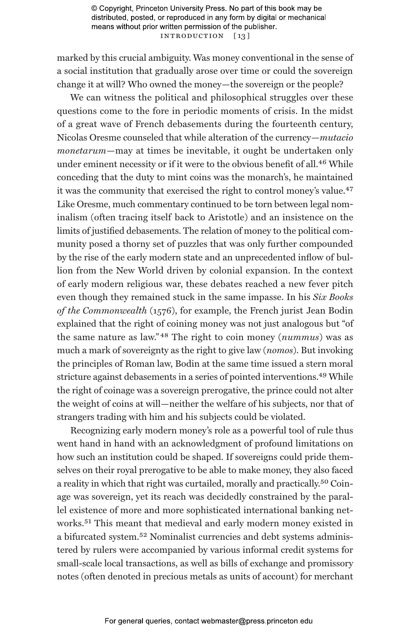© Copyright, Princeton University Press. No part of this book may be distributed, posted, or reproduced in any form by digital or mechanical means without prior written permission of the publisher. INTRODUCTION [13]

marked by this crucial ambiguity. Was money conventional in the sense of a social institution that gradually arose over time or could the sovereign change it at will? Who owned the money—the sovereign or the people?

We can witness the political and philosophical struggles over these questions come to the fore in periodic moments of crisis. In the midst of a great wave of French debasements during the fourteenth century, Nicolas Oresme counseled that while alteration of the currency—*mutacio monetarum*—may at times be inevitable, it ought be undertaken only under eminent necessity or if it were to the obvious benefit of all.<sup>46</sup> While conceding that the duty to mint coins was the monarch's, he maintained it was the community that exercised the right to control money's value.<sup>47</sup> Like Oresme, much commentary continued to be torn between legal nominalism (often tracing itself back to Aristotle) and an insistence on the limits of justified debasements. The relation of money to the political community posed a thorny set of puzzles that was only further compounded by the rise of the early modern state and an unprecedented inflow of bullion from the New World driven by colonial expansion. In the context of early modern religious war, these debates reached a new fever pitch even though they remained stuck in the same impasse. In his *Six Books of the Commonwealth* (1576), for example, the French jurist Jean Bodin explained that the right of coining money was not just analogous but "of the same nature as law." 48 The right to coin money (*nummus*) was as much a mark of sovereignty as the right to give law (*nomos*). But invoking the principles of Roman law, Bodin at the same time issued a stern moral stricture against debasements in a series of pointed interventions.<sup>49</sup> While the right of coinage was a sovereign prerogative, the prince could not alter the weight of coins at will—neither the welfare of his subjects, nor that of strangers trading with him and his subjects could be violated.

Recognizing early modern money's role as a powerful tool of rule thus went hand in hand with an acknowledgment of profound limitations on how such an institution could be shaped. If sovereigns could pride themselves on their royal prerogative to be able to make money, they also faced a reality in which that right was curtailed, morally and practically.50 Coinage was sovereign, yet its reach was decidedly constrained by the parallel existence of more and more sophisticated international banking networks.51 This meant that medieval and early modern money existed in a bifurcated system.52 Nominalist currencies and debt systems administered by rulers were accompanied by various informal credit systems for small-scale local transactions, as well as bills of exchange and promissory notes (often denoted in precious metals as units of account) for merchant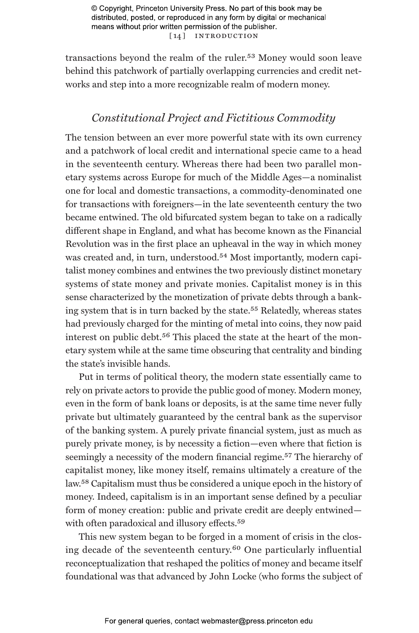© Copyright, Princeton University Press. No part of this book may be distributed, posted, or reproduced in any form by digital or mechanical means without prior written permission of the publisher. [14] INTRODUCTION

transactions beyond the realm of the ruler.53 Money would soon leave behind this patchwork of partially overlapping currencies and credit networks and step into a more recognizable realm of modern money.

## *Constitutional Project and Fictitious Commodity*

The tension between an ever more powerful state with its own currency and a patchwork of local credit and international specie came to a head in the seventeenth century. Whereas there had been two parallel monetary systems across Europe for much of the Middle Ages—a nominalist one for local and domestic transactions, a commodity-denominated one for transactions with foreigners—in the late seventeenth century the two became entwined. The old bifurcated system began to take on a radically different shape in England, and what has become known as the Financial Revolution was in the first place an upheaval in the way in which money was created and, in turn, understood.<sup>54</sup> Most importantly, modern capitalist money combines and entwines the two previously distinct monetary systems of state money and private monies. Capitalist money is in this sense characterized by the monetization of private debts through a banking system that is in turn backed by the state.<sup>55</sup> Relatedly, whereas states had previously charged for the minting of metal into coins, they now paid interest on public debt.<sup>56</sup> This placed the state at the heart of the monetary system while at the same time obscuring that centrality and binding the state's invisible hands.

Put in terms of political theory, the modern state essentially came to rely on private actors to provide the public good of money. Modern money, even in the form of bank loans or deposits, is at the same time never fully private but ultimately guaranteed by the central bank as the supervisor of the banking system. A purely private financial system, just as much as purely private money, is by necessity a fiction—even where that fiction is seemingly a necessity of the modern financial regime.<sup>57</sup> The hierarchy of capitalist money, like money itself, remains ultimately a creature of the law.58 Capitalism must thus be considered a unique epoch in the history of money. Indeed, capitalism is in an important sense defined by a peculiar form of money creation: public and private credit are deeply entwined with often paradoxical and illusory effects.<sup>59</sup>

This new system began to be forged in a moment of crisis in the closing decade of the seventeenth century.60 One particularly influential reconceptualization that reshaped the politics of money and became itself foundational was that advanced by John Locke (who forms the subject of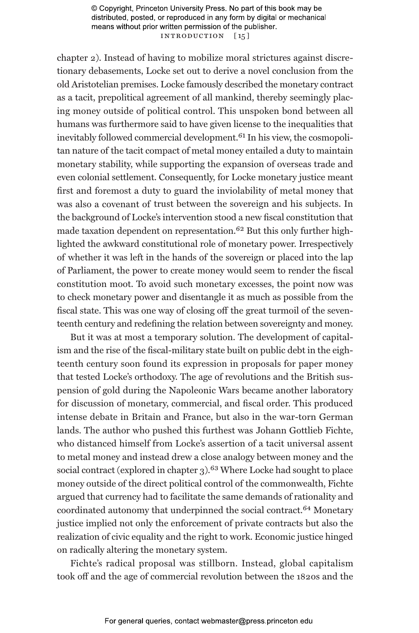© Copyright, Princeton University Press. No part of this book may be distributed, posted, or reproduced in any form by digital or mechanical means without prior written permission of the publisher. INTRODUCTION [15]

chapter 2). Instead of having to mobilize moral strictures against discretionary debasements, Locke set out to derive a novel conclusion from the old Aristotelian premises. Locke famously described the monetary contract as a tacit, prepolitical agreement of all mankind, thereby seemingly placing money outside of political control. This unspoken bond between all humans was furthermore said to have given license to the inequalities that inevitably followed commercial development.<sup>61</sup> In his view, the cosmopolitan nature of the tacit compact of metal money entailed a duty to maintain monetary stability, while supporting the expansion of overseas trade and even colonial settlement. Consequently, for Locke monetary justice meant first and foremost a duty to guard the inviolability of metal money that was also a covenant of trust between the sovereign and his subjects. In the background of Locke's intervention stood a new fiscal constitution that made taxation dependent on representation.62 But this only further highlighted the awkward constitutional role of monetary power. Irrespectively of whether it was left in the hands of the sovereign or placed into the lap of Parliament, the power to create money would seem to render the fiscal constitution moot. To avoid such monetary excesses, the point now was to check monetary power and disentangle it as much as possible from the fiscal state. This was one way of closing off the great turmoil of the seventeenth century and redefining the relation between sovereignty and money.

But it was at most a temporary solution. The development of capitalism and the rise of the fiscal-military state built on public debt in the eighteenth century soon found its expression in proposals for paper money that tested Locke's orthodoxy. The age of revolutions and the British suspension of gold during the Napoleonic Wars became another laboratory for discussion of monetary, commercial, and fiscal order. This produced intense debate in Britain and France, but also in the war-torn German lands. The author who pushed this furthest was Johann Gottlieb Fichte, who distanced himself from Locke's assertion of a tacit universal assent to metal money and instead drew a close analogy between money and the social contract (explored in chapter 3).<sup>63</sup> Where Locke had sought to place money outside of the direct political control of the commonwealth, Fichte argued that currency had to facilitate the same demands of rationality and coordinated autonomy that underpinned the social contract.64 Monetary justice implied not only the enforcement of private contracts but also the realization of civic equality and the right to work. Economic justice hinged on radically altering the monetary system.

Fichte's radical proposal was stillborn. Instead, global capitalism took off and the age of commercial revolution between the 1820s and the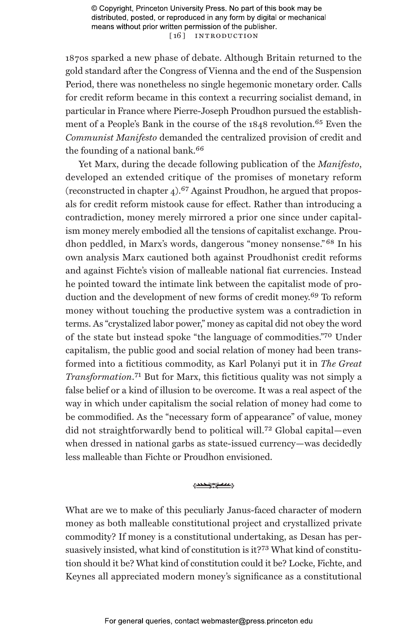© Copyright, Princeton University Press. No part of this book may be distributed, posted, or reproduced in any form by digital or mechanical means without prior written permission of the publisher. [16] INTRODUCTION

1870s sparked a new phase of debate. Although Britain returned to the gold standard after the Congress of Vienna and the end of the Suspension Period, there was nonetheless no single hegemonic monetary order. Calls for credit reform became in this context a recurring socialist demand, in particular in France where Pierre-Joseph Proudhon pursued the establishment of a People's Bank in the course of the 1848 revolution.65 Even the *Communist Manifesto* demanded the centralized provision of credit and the founding of a national bank.<sup>66</sup>

Yet Marx, during the decade following publication of the *Manifesto*, developed an extended critique of the promises of monetary reform (reconstructed in chapter  $4$ ).<sup>67</sup> Against Proudhon, he argued that proposals for credit reform mistook cause for effect. Rather than introducing a contradiction, money merely mirrored a prior one since under capitalism money merely embodied all the tensions of capitalist exchange. Proudhon peddled, in Marx's words, dangerous "money nonsense." 68 In his own analysis Marx cautioned both against Proudhonist credit reforms and against Fichte's vision of malleable national fiat currencies. Instead he pointed toward the intimate link between the capitalist mode of production and the development of new forms of credit money.<sup>69</sup> To reform money without touching the productive system was a contradiction in terms. As "crystalized labor power," money as capital did not obey the word of the state but instead spoke "the language of commodities."70 Under capitalism, the public good and social relation of money had been transformed into a fictitious commodity, as Karl Polanyi put it in *The Great Transformation*.71 But for Marx, this fictitious quality was not simply a false belief or a kind of illusion to be overcome. It was a real aspect of the way in which under capitalism the social relation of money had come to be commodified. As the "necessary form of appearance" of value, money did not straightforwardly bend to political will.72 Global capital—even when dressed in national garbs as state-issued currency—was decidedly less malleable than Fichte or Proudhon envisioned.

#### 1000 mars

What are we to make of this peculiarly Janus-faced character of modern money as both malleable constitutional project and crystallized private commodity? If money is a constitutional undertaking, as Desan has persuasively insisted, what kind of constitution is it?73 What kind of constitution should it be? What kind of constitution could it be? Locke, Fichte, and Keynes all appreciated modern money's significance as a constitutional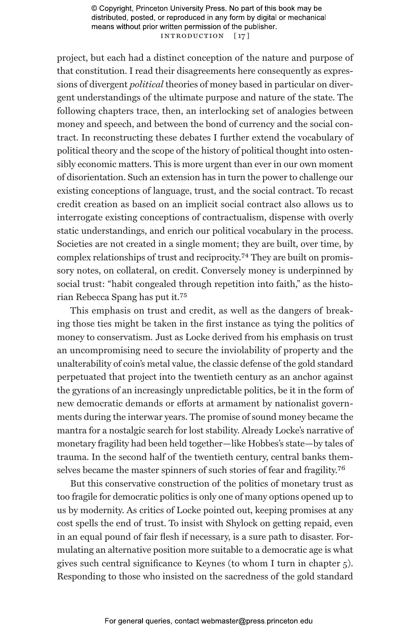© Copyright, Princeton University Press. No part of this book may be distributed, posted, or reproduced in any form by digital or mechanical means without prior written permission of the publisher. INTRODUCTION [17]

project, but each had a distinct conception of the nature and purpose of that constitution. I read their disagreements here consequently as expressions of divergent *political* theories of money based in particular on divergent understandings of the ultimate purpose and nature of the state. The following chapters trace, then, an interlocking set of analogies between money and speech, and between the bond of currency and the social contract. In reconstructing these debates I further extend the vocabulary of political theory and the scope of the history of political thought into ostensibly economic matters. This is more urgent than ever in our own moment of disorientation. Such an extension has in turn the power to challenge our existing conceptions of language, trust, and the social contract. To recast credit creation as based on an implicit social contract also allows us to interrogate existing conceptions of contractualism, dispense with overly static understandings, and enrich our political vocabulary in the process. Societies are not created in a single moment; they are built, over time, by complex relationships of trust and reciprocity.74 They are built on promissory notes, on collateral, on credit. Conversely money is underpinned by social trust: "habit congealed through repetition into faith," as the historian Rebecca Spang has put it.75

This emphasis on trust and credit, as well as the dangers of breaking those ties might be taken in the first instance as tying the politics of money to conservatism. Just as Locke derived from his emphasis on trust an uncompromising need to secure the inviolability of property and the unalterability of coin's metal value, the classic defense of the gold standard perpetuated that project into the twentieth century as an anchor against the gyrations of an increasingly unpredictable politics, be it in the form of new democratic demands or efforts at armament by nationalist governments during the interwar years. The promise of sound money became the mantra for a nostalgic search for lost stability. Already Locke's narrative of monetary fragility had been held together—like Hobbes's state—by tales of trauma. In the second half of the twentieth century, central banks themselves became the master spinners of such stories of fear and fragility.76

But this conservative construction of the politics of monetary trust as too fragile for democratic politics is only one of many options opened up to us by modernity. As critics of Locke pointed out, keeping promises at any cost spells the end of trust. To insist with Shylock on getting repaid, even in an equal pound of fair flesh if necessary, is a sure path to disaster. Formulating an alternative position more suitable to a democratic age is what gives such central significance to Keynes (to whom I turn in chapter 5). Responding to those who insisted on the sacredness of the gold standard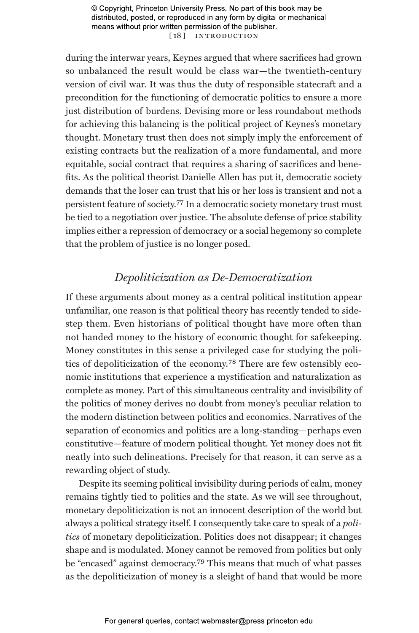© Copyright, Princeton University Press. No part of this book may be distributed, posted, or reproduced in any form by digital or mechanical means without prior written permission of the publisher. [18] INTRODUCTION

during the interwar years, Keynes argued that where sacrifices had grown so unbalanced the result would be class war—the twentieth-century version of civil war. It was thus the duty of responsible statecraft and a precondition for the functioning of democratic politics to ensure a more just distribution of burdens. Devising more or less roundabout methods for achieving this balancing is the political project of Keynes's monetary thought. Monetary trust then does not simply imply the enforcement of existing contracts but the realization of a more fundamental, and more equitable, social contract that requires a sharing of sacrifices and benefits. As the political theorist Danielle Allen has put it, democratic society demands that the loser can trust that his or her loss is transient and not a persistent feature of society.77 In a democratic society monetary trust must be tied to a negotiation over justice. The absolute defense of price stability implies either a repression of democracy or a social hegemony so complete that the problem of justice is no longer posed.

## *Depoliticization as De-Democratization*

If these arguments about money as a central political institution appear unfamiliar, one reason is that political theory has recently tended to sidestep them. Even historians of political thought have more often than not handed money to the history of economic thought for safekeeping. Money constitutes in this sense a privileged case for studying the politics of depoliticization of the economy.78 There are few ostensibly economic institutions that experience a mystification and naturalization as complete as money. Part of this simultaneous centrality and invisibility of the politics of money derives no doubt from money's peculiar relation to the modern distinction between politics and economics. Narratives of the separation of economics and politics are a long-standing—perhaps even constitutive—feature of modern political thought. Yet money does not fit neatly into such delineations. Precisely for that reason, it can serve as a rewarding object of study.

Despite its seeming political invisibility during periods of calm, money remains tightly tied to politics and the state. As we will see throughout, monetary depoliticization is not an innocent description of the world but always a political strategy itself. I consequently take care to speak of a *politics* of monetary depoliticization. Politics does not disappear; it changes shape and is modulated. Money cannot be removed from politics but only be "encased" against democracy.79 This means that much of what passes as the depoliticization of money is a sleight of hand that would be more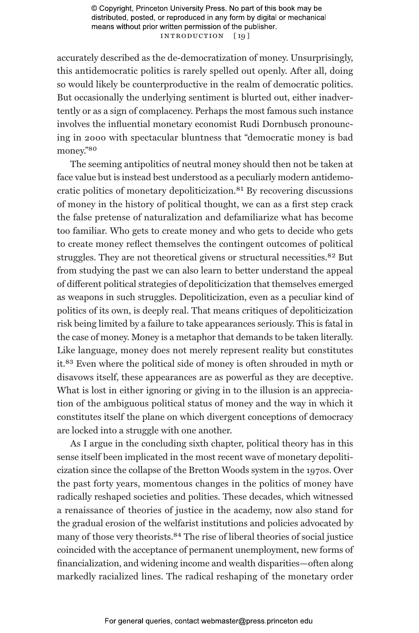© Copyright, Princeton University Press. No part of this book may be distributed, posted, or reproduced in any form by digital or mechanical means without prior written permission of the publisher. INTRODUCTION [19]

accurately described as the de-democratization of money. Unsurprisingly, this antidemocratic politics is rarely spelled out openly. After all, doing so would likely be counterproductive in the realm of democratic politics. But occasionally the underlying sentiment is blurted out, either inadvertently or as a sign of complacency. Perhaps the most famous such instance involves the influential monetary economist Rudi Dornbusch pronouncing in 2000 with spectacular bluntness that "democratic money is bad money."80

The seeming antipolitics of neutral money should then not be taken at face value but is instead best understood as a peculiarly modern antidemocratic politics of monetary depoliticization.81 By recovering discussions of money in the history of political thought, we can as a first step crack the false pretense of naturalization and defamiliarize what has become too familiar. Who gets to create money and who gets to decide who gets to create money reflect themselves the contingent outcomes of political struggles. They are not theoretical givens or structural necessities.<sup>82</sup> But from studying the past we can also learn to better understand the appeal of different political strategies of depoliticization that themselves emerged as weapons in such struggles. Depoliticization, even as a peculiar kind of politics of its own, is deeply real. That means critiques of depoliticization risk being limited by a failure to take appearances seriously. This is fatal in the case of money. Money is a metaphor that demands to be taken literally. Like language, money does not merely represent reality but constitutes it.83 Even where the political side of money is often shrouded in myth or disavows itself, these appearances are as powerful as they are deceptive. What is lost in either ignoring or giving in to the illusion is an appreciation of the ambiguous political status of money and the way in which it constitutes itself the plane on which divergent conceptions of democracy are locked into a struggle with one another.

As I argue in the concluding sixth chapter, political theory has in this sense itself been implicated in the most recent wave of monetary depoliticization since the collapse of the Bretton Woods system in the 1970s. Over the past forty years, momentous changes in the politics of money have radically reshaped societies and polities. These decades, which witnessed a renaissance of theories of justice in the academy, now also stand for the gradual erosion of the welfarist institutions and policies advocated by many of those very theorists.84 The rise of liberal theories of social justice coincided with the acceptance of permanent unemployment, new forms of financialization, and widening income and wealth disparities—often along markedly racialized lines. The radical reshaping of the monetary order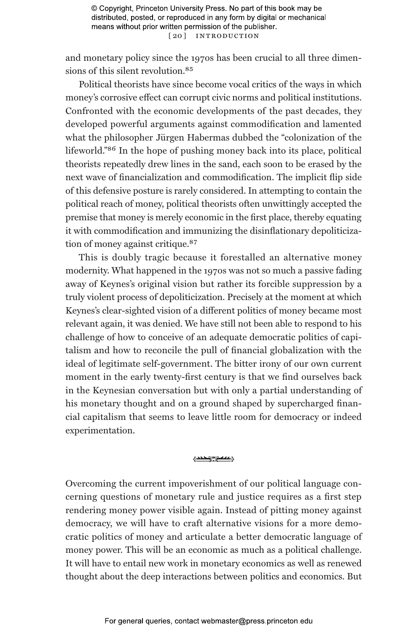and monetary policy since the 1970s has been crucial to all three dimensions of this silent revolution.<sup>85</sup>

Political theorists have since become vocal critics of the ways in which money's corrosive effect can corrupt civic norms and political institutions. Confronted with the economic developments of the past decades, they developed powerful arguments against commodification and lamented what the philosopher Jürgen Habermas dubbed the "colonization of the lifeworld."86 In the hope of pushing money back into its place, political theorists repeatedly drew lines in the sand, each soon to be erased by the next wave of financialization and commodification. The implicit flip side of this defensive posture is rarely considered. In attempting to contain the political reach of money, political theorists often unwittingly accepted the premise that money is merely economic in the first place, thereby equating it with commodification and immunizing the disinflationary depoliticization of money against critique.<sup>87</sup>

This is doubly tragic because it forestalled an alternative money modernity. What happened in the 1970s was not so much a passive fading away of Keynes's original vision but rather its forcible suppression by a truly violent process of depoliticization. Precisely at the moment at which Keynes's clear-sighted vision of a different politics of money became most relevant again, it was denied. We have still not been able to respond to his challenge of how to conceive of an adequate democratic politics of capitalism and how to reconcile the pull of financial globalization with the ideal of legitimate self-government. The bitter irony of our own current moment in the early twenty-first century is that we find ourselves back in the Keynesian conversation but with only a partial understanding of his monetary thought and on a ground shaped by supercharged financial capitalism that seems to leave little room for democracy or indeed experimentation.

#### 1000 march

Overcoming the current impoverishment of our political language concerning questions of monetary rule and justice requires as a first step rendering money power visible again. Instead of pitting money against democracy, we will have to craft alternative visions for a more democratic politics of money and articulate a better democratic language of money power. This will be an economic as much as a political challenge. It will have to entail new work in monetary economics as well as renewed thought about the deep interactions between politics and economics. But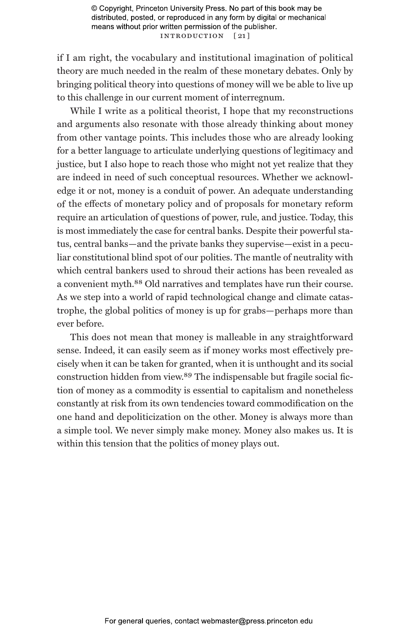© Copyright, Princeton University Press. No part of this book may be distributed, posted, or reproduced in any form by digital or mechanical means without prior written permission of the publisher. INTRODUCTION [21]

if I am right, the vocabulary and institutional imagination of political theory are much needed in the realm of these monetary debates. Only by bringing political theory into questions of money will we be able to live up to this challenge in our current moment of interregnum.

While I write as a political theorist, I hope that my reconstructions and arguments also resonate with those already thinking about money from other vantage points. This includes those who are already looking for a better language to articulate underlying questions of legitimacy and justice, but I also hope to reach those who might not yet realize that they are indeed in need of such conceptual resources. Whether we acknowledge it or not, money is a conduit of power. An adequate understanding of the effects of monetary policy and of proposals for monetary reform require an articulation of questions of power, rule, and justice. Today, this is most immediately the case for central banks. Despite their powerful status, central banks—and the private banks they supervise—exist in a peculiar constitutional blind spot of our polities. The mantle of neutrality with which central bankers used to shroud their actions has been revealed as a convenient myth.88 Old narratives and templates have run their course. As we step into a world of rapid technological change and climate catastrophe, the global politics of money is up for grabs—perhaps more than ever before.

This does not mean that money is malleable in any straightforward sense. Indeed, it can easily seem as if money works most effectively precisely when it can be taken for granted, when it is unthought and its social construction hidden from view.89 The indispensable but fragile social fiction of money as a commodity is essential to capitalism and nonetheless constantly at risk from its own tendencies toward commodification on the one hand and depoliticization on the other. Money is always more than a simple tool. We never simply make money. Money also makes us. It is within this tension that the politics of money plays out.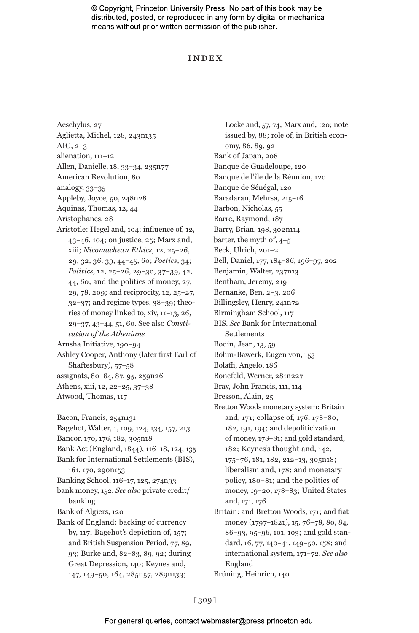© Copyright, Princeton University Press. No part of this book may be distributed, posted, or reproduced in any form by digital or mechanical means without prior written permission of the publisher.

### Index

Aeschylus, 27 Aglietta, Michel, 128, 243n135 AIG, 2–3 alienation, 111–12 Allen, Danielle, 18, 33–34, 235n77 American Revolution, 80 analogy, 33–35 Appleby, Joyce, 50, 248n28 Aquinas, Thomas, 12, 44 Aristophanes, 28 Aristotle: Hegel and, 104; influence of, 12, 43–46, 104; on justice, 25; Marx and, xiii; *Nicomachean Ethics*, 12, 25–26, 29, 32, 36, 39, 44–45, 60; *Poetics*, 34; *Politics*, 12, 25–26, 29–30, 37–39, 42, 44, 60; and the politics of money, 27, 29, 78, 209; and reciprocity, 12, 25–27, 32–37; and regime types, 38–39; theories of money linked to, xiv, 11–13, 26, 29–37, 43–44, 51, 60. See also *Constitution of the Athenians* Arusha Initiative, 190–94 Ashley Cooper, Anthony (later first Earl of Shaftesbury), 57–58 assignats, 80–84, 87, 95, 259n26 Athens, xiii, 12, 22–25, 37–38 Atwood, Thomas, 117 Bacon, Francis, 254n131 Bagehot, Walter, 1, 109, 124, 134, 157, 213 Bancor, 170, 176, 182, 305n18 Bank Act (England, 1844), 116–18, 124, 135 Bank for International Settlements (BIS), 161, 170, 290n153 Banking School, 116–17, 125, 274n93 bank money, 152. *See also* private credit/ banking Bank of Algiers, 120 Bank of England: backing of currency by, 117; Bagehot's depiction of, 157; and British Suspension Period, 77, 89, 93; Burke and, 82–83, 89, 92; during Great Depression, 140; Keynes and, 147, 149–50, 164, 285n57, 289n133;

Locke and, 57, 74; Marx and, 120; note issued by, 88; role of, in British economy, 86, 89, 92 Bank of Japan, 208 Banque de Guadeloupe, 120 Banque de l'île de la Réunion, 120 Banque de Sénégal, 120 Baradaran, Mehrsa, 215–16 Barbon, Nicholas, 55 Barre, Raymond, 187 Barry, Brian, 198, 302n114 barter, the myth of, 4–5 Beck, Ulrich, 201–2 Bell, Daniel, 177, 184–86, 196–97, 202 Benjamin, Walter, 237n13 Bentham, Jeremy, 219 Bernanke, Ben, 2–3, 206 Billingsley, Henry, 241n72 Birmingham School, 117 BIS. *See* Bank for International Settlements Bodin, Jean, 13, 59 Böhm-Bawerk, Eugen von, 153 Bolaffi, Angelo, 186 Bonefeld, Werner, 281n227 Bray, John Francis, 111, 114 Bresson, Alain, 25 Bretton Woods monetary system: Britain and, 171; collapse of, 176, 178–80, 182, 191, 194; and depoliticization of money, 178–81; and gold standard, 182; Keynes's thought and, 142, 175–76, 181, 182, 212–13, 305n18; liberalism and, 178; and monetary policy, 180–81; and the politics of money, 19–20, 178–83; United States and, 171, 176 Britain: and Bretton Woods, 171; and fiat money (1797–1821), 15, 76–78, 80, 84, 86–93, 95–96, 101, 103; and gold standard, 16, 77, 140–41, 149–50, 158; and international system, 171–72. *See also* England

Brüning, Heinrich, 140

[ 309 ]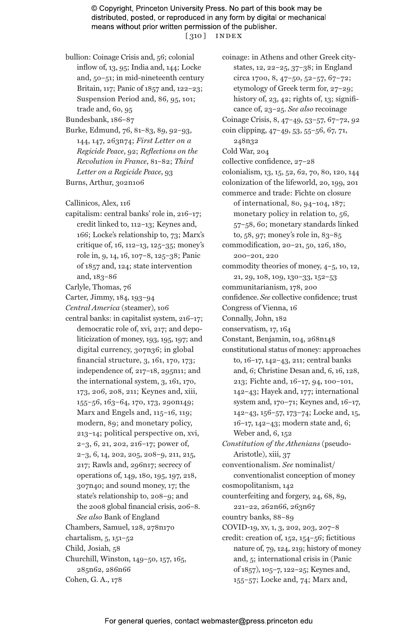© Copyright, Princeton University Press. No part of this book may be distributed, posted, or reproduced in any form by digital or mechanical means without prior written permission of the publisher. [ 310 ] index

bullion: Coinage Crisis and, 56; colonial inflow of, 13, 95; India and, 144; Locke and, 50–51; in mid-nineteenth century Britain, 117; Panic of 1857 and, 122–23; Suspension Period and, 86, 95, 101; trade and, 60, 95

Bundesbank, 186–87

Burke, Edmund, 76, 81–83, 89, 92–93, 144, 147, 263n74; *First Letter on a Regicide Peace*, 92; *Reflections on the Revolution in France*, 81–82; *Third Letter on a Regicide Peace*, 93 Burns, Arthur, 302n106

Callinicos, Alex, 116

capitalism: central banks' role in, 216–17; credit linked to, 112–13; Keynes and, 166; Locke's relationship to, 73; Marx's critique of, 16, 112–13, 125–35; money's role in, 9, 14, 16, 107–8, 125–38; Panic of 1857 and, 124; state intervention and, 183–86

Carlyle, Thomas, 76

Carter, Jimmy, 184, 193–94

*Central America* (steamer), 106

central banks: in capitalist system, 216–17; democratic role of, xvi, 217; and depoliticization of money, 193, 195, 197; and digital currency, 307n36; in global financial structure, 3, 161, 170, 173; independence of, 217–18, 295n11; and the international system, 3, 161, 170, 173, 206, 208, 211; Keynes and, xiii, 155–56, 163–64, 170, 173, 290n149; Marx and Engels and, 115–16, 119; modern, 89; and monetary policy, 213–14; political perspective on, xvi, 2–3, 6, 21, 202, 216–17; power of, 2–3, 6, 14, 202, 205, 208–9, 211, 215, 217; Rawls and, 296n17; secrecy of operations of, 149, 180, 195, 197, 218, 307n40; and sound money, 17; the state's relationship to, 208–9; and the 2008 global financial crisis, 206–8. *See also* Bank of England Chambers, Samuel, 128, 278n170

chartalism, 5, 151–52 Child, Josiah, 58 Churchill, Winston, 149–50, 157, 165, 285n62, 286n66

Cohen, G. A., 178

coinage: in Athens and other Greek citystates, 12, 22–25, 37–38; in England circa 1700, 8, 47–50, 52–57, 67–72; etymology of Greek term for, 27–29; history of,  $23, 42$ ; rights of,  $13$ ; significance of, 23–25. *See also* recoinage Coinage Crisis, 8, 47–49, 53–57, 67–72, 92 coin clipping, 47–49, 53, 55–56, 67, 71, 248n32 Cold War, 204 collective confidence, 27–28 colonialism, 13, 15, 52, 62, 70, 80, 120, 144 colonization of the lifeworld, 20, 199, 201 commerce and trade: Fichte on closure of international, 80, 94–104, 187; monetary policy in relation to, 56, 57–58, 60; monetary standards linked to, 58, 97; money's role in, 83–85 commodification, 20–21, 50, 126, 180, 200–201, 220 commodity theories of money, 4–5, 10, 12, 21, 29, 108, 109, 130–33, 152–53 communitarianism, 178, 200 confidence. *See* collective confidence; trust Congress of Vienna, 16 Connally, John, 182 conservatism, 17, 164 Constant, Benjamin, 104, 268n148 constitutional status of money: approaches to, 16–17, 142–43, 211; central banks and, 6; Christine Desan and, 6, 16, 128, 213; Fichte and, 16–17, 94, 100–101, 142–43; Hayek and, 177; international system and, 170–71; Keynes and, 16–17, 142–43, 156–57, 173–74; Locke and, 15, 16–17, 142–43; modern state and, 6; Weber and, 6, 152 *Constitution of the Athenians* (pseudo-Aristotle), xiii, 37 conventionalism. *See* nominalist/ conventionalist conception of money cosmopolitanism, 142 counterfeiting and forgery, 24, 68, 89, 221–22, 262n66, 263n67 country banks, 88–89 COVID-19, xv, 1, 3, 202, 203, 207–8 credit: creation of, 152, 154–56; fictitious nature of, 79, 124, 219; history of money and, 5; international crisis in (Panic of 1857), 105–7, 122–25; Keynes and,

155–57; Locke and, 74; Marx and,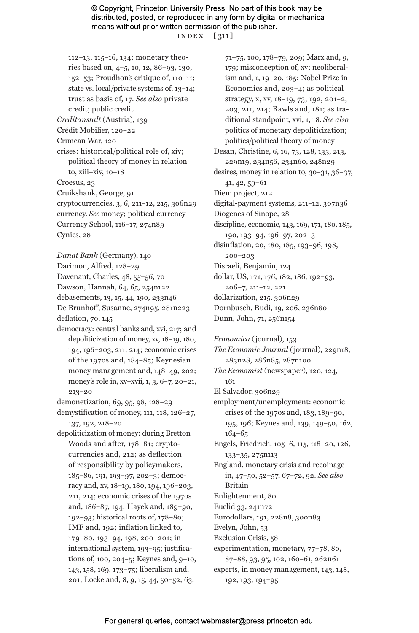© Copyright, Princeton University Press. No part of this book may be distributed, posted, or reproduced in any form by digital or mechanical means without prior written permission of the publisher. index [ 311 ]

112–13, 115–16, 134; monetary theories based on, 4–5, 10, 12, 86–93, 130, 152–53; Proudhon's critique of, 110–11; state vs. local/private systems of, 13–14; trust as basis of, 17. *See also* private credit; public credit *Creditanstalt* (Austria), 139 Crédit Mobilier, 120–22 Crimean War, 120 crises: historical/political role of, xiv; political theory of money in relation to, xiii–xiv, 10–18 Croesus, 23 Cruikshank, George, 91 cryptocurrencies, 3, 6, 211–12, 215, 306n29 currency. *See* money; political currency Currency School, 116–17, 274n89 Cynics, 28

*Danat Bank* (Germany), 140 Darimon, Alfred, 128–29 Davenant, Charles, 48, 55–56, 70 Dawson, Hannah, 64, 65, 254n122 debasements, 13, 15, 44, 190, 233n46 De Brunhoff, Susanne, 274n95, 281n223 deflation, 70, 145

democracy: central banks and, xvi, 217; and depoliticization of money, xv, 18–19, 180, 194, 196–203, 211, 214; economic crises of the 1970s and, 184–85; Keynesian money management and, 148–49, 202; money's role in, xv–xvii, 1, 3, 6–7, 20–21, 213–20

demonetization, 69, 95, 98, 128–29

demystification of money, 111, 118, 126–27, 137, 192, 218–20

depoliticization of money: during Bretton Woods and after, 178–81; cryptocurrencies and, 212; as deflection of responsibility by policymakers, 185–86, 191, 193–97, 202–3; democracy and, xv, 18–19, 180, 194, 196–203, 211, 214; economic crises of the 1970s and, 186–87, 194; Hayek and, 189–90, 192–93; historical roots of, 178–80; IMF and, 192; inflation linked to, 179–80, 193–94, 198, 200–201; in international system, 193–95; justifications of, 100, 204–5; Keynes and, 9–10, 143, 158, 169, 173–75; liberalism and, 201; Locke and, 8, 9, 15, 44, 50–52, 63,

71–75, 100, 178–79, 209; Marx and, 9, 179; misconception of, xv; neoliberalism and, 1, 19–20, 185; Nobel Prize in Economics and, 203–4; as political strategy, x, xv, 18–19, 73, 192, 201–2, 203, 211, 214; Rawls and, 181; as traditional standpoint, xvi, 1, 18. *See also* politics of monetary depoliticization; politics/political theory of money Desan, Christine, 6, 16, 73, 128, 133, 213, 229n19, 234n56, 234n60, 248n29 desires, money in relation to, 30–31, 36–37, 41, 42, 59–61 Diem project, 212 digital-payment systems, 211–12, 307n36 Diogenes of Sinope, 28 discipline, economic, 143, 169, 171, 180, 185, 190, 193–94, 196–97, 202–3 disinflation, 20, 180, 185, 193–96, 198, 200–203 Disraeli, Benjamin, 124 dollar, US, 171, 176, 182, 186, 192–93, 206–7, 211–12, 221 dollarization, 215, 306n29 Dornbusch, Rudi, 19, 206, 236n80

Dunn, John, 71, 256n154 *Economica* (journal), 153

*The Economic Journal* (journal), 229n18, 283n28, 286n85, 287n100 *The Economist* (newspaper), 120, 124, 161 El Salvador, 306n29 employment/unemployment: economic crises of the 1970s and, 183, 189–90, 195, 196; Keynes and, 139, 149–50, 162, 164–65

Engels, Friedrich, 105–6, 115, 118–20, 126, 133–35, 275n113

England, monetary crisis and recoinage in, 47–50, 52–57, 67–72, 92. *See also* Britain

Enlightenment, 80

Euclid 33, 241n72

Eurodollars, 191, 228n8, 300n83

Evelyn, John, 53

Exclusion Crisis, 58

experimentation, monetary, 77–78, 80, 87–88, 93, 95, 102, 160–61, 262n61

experts, in money management, 143, 148, 192, 193, 194–95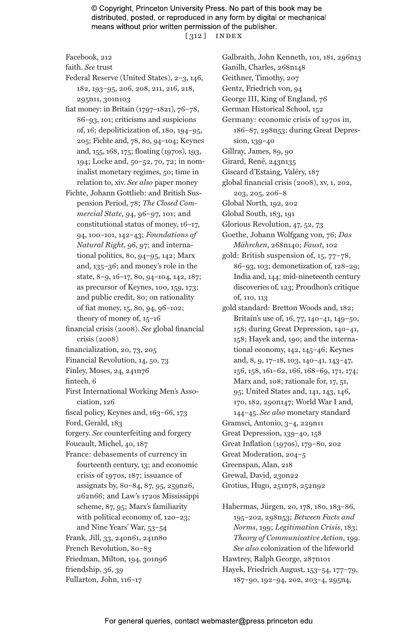© Copyright, Princeton University Press. No part of this book may be distributed, posted, or reproduced in any form by digital or mechanical means without prior written permission of the publisher. [ 312 ] index

Facebook, 212

faith. *See* trust

Federal Reserve (United States), 2–3, 146, 182, 193–95, 206, 208, 211, 216, 218, 295n11, 301n103

fiat money: in Britain (1797–1821), 76–78, 86–93, 101; criticisms and suspicions of, 16; depoliticization of, 180, 194–95, 205; Fichte and, 78, 80, 94–104; Keynes and, 155, 168, 175; floating (1970s), 193, 194; Locke and, 50–52, 70, 72; in nominalist monetary regimes, 50; time in relation to, xiv. *See also* paper money

- Fichte, Johann Gottlieb: and British Suspension Period, 78; *The Closed Commercial State*, 94, 96–97, 101; and constitutional status of money, 16–17, 94, 100–101, 142–43; *Foundations of Natural Right*, 96, 97; and international politics, 80, 94–95, 142; Marx and, 135–36; and money's role in the state, 8–9, 16–17, 80, 94–104, 142, 187; as precursor of Keynes, 100, 159, 173; and public credit, 80; on rationality of fiat money, 15, 80, 94, 96–102; theory of money of, 15–16
- financial crisis (2008). *See* global financial crisis (2008)
- financialization, 20, 73, 205
- Financial Revolution, 14, 50, 73
- Finley, Moses, 24, 241n76
- fintech, 6

First International Working Men's Association, 126

- fiscal policy, Keynes and, 163–66, 173
- Ford, Gerald, 183

forgery. *See* counterfeiting and forgery Foucault, Michel, 40, 187

- 
- France: debasements of currency in fourteenth century, 13; and economic crisis of 1970s, 187; issuance of assignats by, 80–84, 87, 95, 259n26, 262n66; and Law's 1720s Mississippi scheme, 87, 95; Marx's familiarity with political economy of, 120–23;

and Nine Years' War, 53–54 Frank, Jill, 33, 240n61, 241n80 French Revolution, 80–83 Friedman, Milton, 194, 301n96 friendship, 36, 39

Fullarton, John, 116–17

Galbraith, John Kenneth, 101, 181, 296n13 Ganilh, Charles, 268n148 Geithner, Timothy, 207 Gentz, Friedrich von, 94 George III, King of England, 76 German Historical School, 152 Germany: economic crisis of 1970s in, 186–87, 298n53; during Great Depression, 139–40 Gillray, James, 89, 90 Girard, René, 243n135 Giscard d'Estaing, Valéry, 187 global financial crisis (2008), xv, 1, 202, 203, 205, 206–8 Global North, 192, 202 Global South, 183, 191 Glorious Revolution, 47, 52, 73 Goethe, Johann Wolfgang von, 76; *Das Mährchen*, 268n140; *Faust*, 102 gold: British suspension of, 15, 77–78, 86–93, 103; demonetization of, 128–29; India and, 144; mid-nineteenth century discoveries of, 123; Proudhon's critique of, 110, 113 gold standard: Bretton Woods and, 182; Britain's use of, 16, 77, 140–41, 149–50, 158; during Great Depression, 140–41, 158; Hayek and, 190; and the international economy, 142, 145–46; Keynes and, 8, 9, 17–18, 103, 140–41, 143–47, 156, 158, 161–62, 166, 168–69, 171, 174; Marx and, 108; rationale for, 17, 51, 95; United States and, 141, 143, 146, 170, 182, 290n147; World War I and, 144–45. *See also* monetary standard Gramsci, Antonio, 3–4, 229n11 Great Depression, 139–40, 158 Great Inflation (1970s), 179–80, 202 Great Moderation, 204–5

Greenspan, Alan, 218

Grewal, David, 230n22

Grotius, Hugo, 251n78, 252n92

Habermas, Jürgen, 20, 178, 180, 183–86, 195–202, 298n53; *Between Facts and Norms*, 199; *Legitimation Crisis*, 183; *Theory of Communicative Action*, 199. *See also* colonization of the lifeworld Hawtrey, Ralph George, 287n101 Hayek, Friedrich August, 153–54, 177–79, 187–90, 192–94, 202, 203–4, 295n4,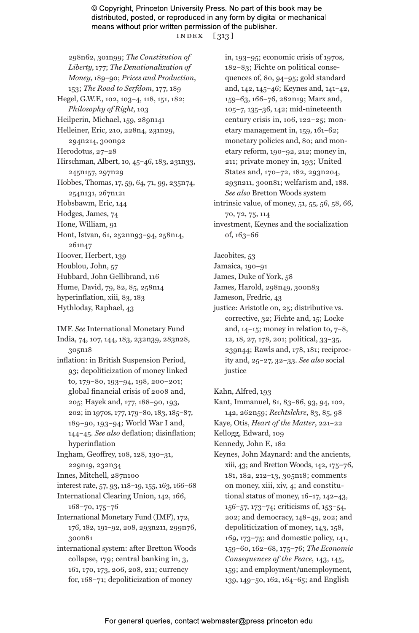© Copyright, Princeton University Press. No part of this book may be distributed, posted, or reproduced in any form by digital or mechanical means without prior written permission of the publisher. index [ 313 ]

298n62, 301n99; *The Constitution of Liberty*, 177; *The Denationalization of Money*, 189–90; *Prices and Production*, 153; *The Road to Serfdom*, 177, 189 Hegel, G.W.F., 102, 103–4, 118, 151, 182; *Philosophy of Right*, 103 Heilperin, Michael, 159, 289n141 Helleiner, Eric, 210, 228n4, 231n29, 294n214, 300n92 Herodotus, 27–28 Hirschman, Albert, 10, 45–46, 183, 231n33, 245n157, 297n29 Hobbes, Thomas, 17, 59, 64, 71, 99, 235n74, 254n131, 267n121 Hobsbawm, Eric, 144 Hodges, James, 74 Hone, William, 91 Hont, Istvan, 61, 252nn93–94, 258n14, 261n47 Hoover, Herbert, 139 Houblou, John, 57 Hubbard, John Gellibrand, 116 Hume, David, 79, 82, 85, 258n14 hyperinflation, xiii, 83, 183

- Hythloday, Raphael, 43
- IMF. *See* International Monetary Fund

India, 74, 107, 144, 183, 232n39, 283n28, 305n18

inflation: in British Suspension Period, 93; depoliticization of money linked to, 179–80, 193–94, 198, 200–201; global financial crisis of 2008 and, 205; Hayek and, 177, 188–90, 193, 202; in 1970s, 177, 179–80, 183, 185–87, 189–90, 193–94; World War I and, 144–45. *See also* deflation; disinflation; hyperinflation

Ingham, Geoffrey, 108, 128, 130–31, 229n19, 232n34

- Innes, Mitchell, 287n100
- interest rate, 57, 93, 118–19, 155, 163, 166–68

International Clearing Union, 142, 166, 168–70, 175–76

- International Monetary Fund (IMF), 172, 176, 182, 191–92, 208, 293n211, 299n76, 300n81
- international system: after Bretton Woods collapse, 179; central banking in, 3, 161, 170, 173, 206, 208, 211; currency for, 168–71; depoliticization of money

in, 193–95; economic crisis of 1970s, 182–83; Fichte on political consequences of, 80, 94–95; gold standard and, 142, 145–46; Keynes and, 141–42, 159–63, 166–76, 282n19; Marx and, 105–7, 135–36, 142; mid-nineteenth century crisis in, 106, 122–25; monetary management in, 159, 161–62; monetary policies and, 80; and monetary reform, 190–92, 212; money in, 211; private money in, 193; United States and, 170–72, 182, 293n204, 293n211, 300n81; welfarism and, 188. *See also* Bretton Woods system

intrinsic value, of money, 51, 55, 56, 58, 66, 70, 72, 75, 114

investment, Keynes and the socialization of, 163–66

Jacobites, 53

- Jamaica, 190–91
- James, Duke of York, 58
- James, Harold, 298n49, 300n83
- Jameson, Fredric, 43
- justice: Aristotle on, 25; distributive vs. corrective, 32; Fichte and, 15; Locke and,  $14-15$ ; money in relation to,  $7-8$ , 12, 18, 27, 178, 201; political, 33–35, 239n44; Rawls and, 178, 181; reciprocity and, 25–27, 32–33. *See also* social justice

Kahn, Alfred, 193

Kant, Immanuel, 81, 83–86, 93, 94, 102, 142, 262n59; *Rechtslehre*, 83, 85, 98

Kaye, Otis, *Heart of the Matter*, 221–22

Kellogg, Edward, 109

Kennedy, John F., 182

Keynes, John Maynard: and the ancients, xiii, 43; and Bretton Woods, 142, 175–76, 181, 182, 212–13, 305n18; comments on money, xiii, xiv, 4; and constitutional status of money, 16–17, 142–43, 156–57, 173–74; criticisms of, 153–54, 202; and democracy, 148–49, 202; and depoliticization of money, 143, 158, 169, 173–75; and domestic policy, 141, 159–60, 162–68, 175–76; *The Economic Consequences of the Peace*, 143, 145, 159; and employment/unemployment, 139, 149–50, 162, 164–65; and English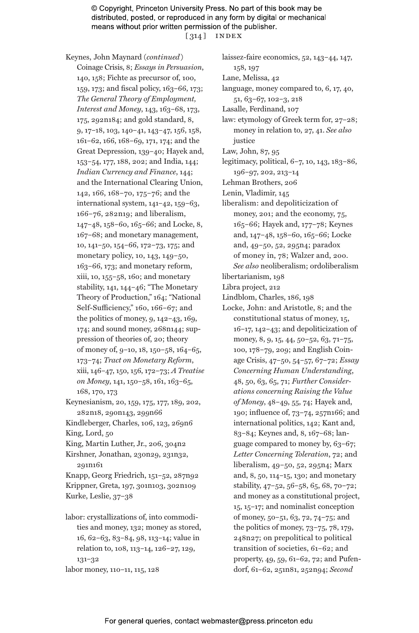© Copyright, Princeton University Press. No part of this book may be distributed, posted, or reproduced in any form by digital or mechanical means without prior written permission of the publisher. [ 314 ] index

Keynes, John Maynard (*continued*) Coinage Crisis, 8; *Essays in Persuasion*, 140, 158; Fichte as precursor of, 100, 159, 173; and fiscal policy, 163–66, 173; *The General Theory of Employment, Interest and Money*, 143, 163–68, 173, 175, 292n184; and gold standard, 8, 9, 17–18, 103, 140–41, 143–47, 156, 158, 161–62, 166, 168–69, 171, 174; and the Great Depression, 139–40; Hayek and, 153–54, 177, 188, 202; and India, 144; *Indian Currency and Finance*, 144; and the International Clearing Union, 142, 166, 168–70, 175–76; and the international system, 141–42, 159–63, 166–76, 282n19; and liberalism, 147–48, 158–60, 165–66; and Locke, 8, 167–68; and monetary management, 10, 141–50, 154–66, 172–73, 175; and monetary policy, 10, 143, 149–50, 163–66, 173; and monetary reform, xiii, 10, 155–58, 160; and monetary stability, 141, 144–46; "The Monetary Theory of Production," 164; "National Self-Sufficiency," 160, 166–67; and the politics of money, 9, 142–43, 169, 174; and sound money, 268n144; suppression of theories of, 20; theory of money of, 9–10, 18, 150–58, 164–65, 173–74; *Tract on Monetary Reform*, xiii, 146–47, 150, 156, 172–73; *A Treatise on Money*, 141, 150–58, 161, 163–65, 168, 170, 173 Keynesianism, 20, 159, 175, 177, 189, 202, 282n18, 290n143, 299n66

Kindleberger, Charles, 106, 123, 269n6 King, Lord, 50

King, Martin Luther, Jr., 206, 304n2

Kirshner, Jonathan, 230n29, 231n32, 291n161

Knapp, Georg Friedrich, 151–52, 287n92 Krippner, Greta, 197, 301n103, 302n109 Kurke, Leslie, 37–38

labor: crystallizations of, into commodities and money, 132; money as stored, 16, 62–63, 83–84, 98, 113–14; value in relation to, 108, 113–14, 126–27, 129, 131–32 labor money, 110–11, 115, 128

laissez-faire economics, 52, 143–44, 147, 158, 197 Lane, Melissa, 42 language, money compared to, 6, 17, 40, 51, 63–67, 102–3, 218 Lasalle, Ferdinand, 107 law: etymology of Greek term for, 27–28; money in relation to, 27, 41. *See also* justice Law, John, 87, 95 legitimacy, political, 6–7, 10, 143, 183–86, 196–97, 202, 213–14 Lehman Brothers, 206 Lenin, Vladimir, 145 liberalism: and depoliticization of money, 201; and the economy, 75, 165–66; Hayek and, 177–78; Keynes and, 147–48, 158–60, 165–66; Locke and, 49–50, 52, 295n4; paradox of money in, 78; Walzer and, 200. *See also* neoliberalism; ordoliberalism libertarianism, 198 Libra project, 212 Lindblom, Charles, 186, 198 Locke, John: and Aristotle, 8; and the constitutional status of money, 15, 16–17, 142–43; and depoliticization of money, 8, 9, 15, 44, 50-52, 63, 71-75, 100, 178–79, 209; and English Coinage Crisis, 47–50, 54–57, 67–72; *Essay Concerning Human Understanding*, 48, 50, 63, 65, 71; *Further Considerations concerning Raising the Value of Money*, 48–49, 55, 74; Hayek and, 190; influence of, 73–74, 257n166; and international politics, 142; Kant and, 83–84; Keynes and, 8, 167–68; language compared to money by, 63–67; *Letter Concerning Toleration*, 72; and liberalism, 49–50, 52, 295n4; Marx and, 8, 50, 114–15, 130; and monetary stability, 47–52, 56–58, 65, 68, 70–72;

and money as a constitutional project, 15, 15–17; and nominalist conception of money, 50–51, 63, 72, 74–75; and the politics of money, 73–75, 78, 179, 248n27; on prepolitical to political transition of societies, 61–62; and property, 49, 59, 61–62, 72; and Pufendorf, 61–62, 251n81, 252n94; *Second*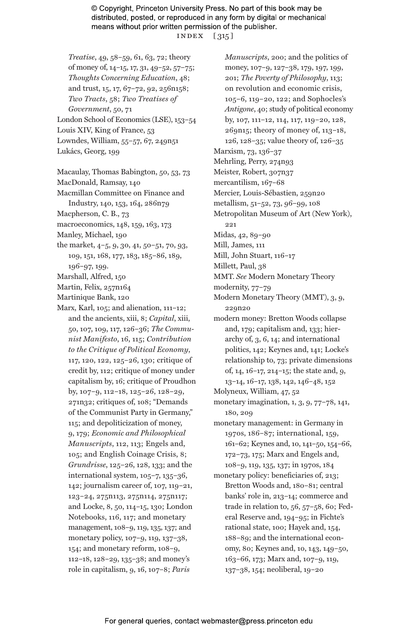© Copyright, Princeton University Press. No part of this book may be distributed, posted, or reproduced in any form by digital or mechanical means without prior written permission of the publisher. index [ 315 ]

- *Treatise*, 49, 58–59, 61, 63, 72; theory of money of, 14–15, 17, 31, 49–52, 57–75; *Thoughts Concerning Education*, 48; and trust, 15, 17, 67–72, 92, 256n158; *Two Tracts*, 58; *Two Treatises of Government*, 50, 71 London School of Economics (LSE), 153–54 Louis XIV, King of France, 53 Lowndes, William, 55–57, 67, 249n51 Lukács, Georg, 199
- Macaulay, Thomas Babington, 50, 53, 73 MacDonald, Ramsay, 140
- Macmillan Committee on Finance and Industry, 140, 153, 164, 286n79
- Macpherson, C. B., 73
- macroeconomics, 148, 159, 163, 173
- Manley, Michael, 190
- the market, 4–5, 9, 30, 41, 50–51, 70, 93, 109, 151, 168, 177, 183, 185–86, 189, 196–97, 199.
- Marshall, Alfred, 150
- Martin, Felix, 257n164
- Martinique Bank, 120
- Marx, Karl, 105; and alienation, 111–12; and the ancients, xiii, 8; *Capital*, xiii, 50, 107, 109, 117, 126–36; *The Communist Manifesto*, 16, 115; *Contribution to the Critique of Political Economy*, 117, 120, 122, 125–26, 130; critique of credit by, 112; critique of money under capitalism by, 16; critique of Proudhon by, 107–9, 112–18, 125–26, 128–29, 271n32; critiques of, 108; "Demands of the Communist Party in Germany," 115; and depoliticization of money, 9, 179; *Economic and Philosophical Manuscripts*, 112, 113; Engels and, 105; and English Coinage Crisis, 8; *Grundrisse*, 125–26, 128, 133; and the international system, 105–7, 135–36, 142; journalism career of, 107, 119–21, 123–24, 275n113, 275n114, 275n117; and Locke, 8, 50, 114–15, 130; London Notebooks, 116, 117; and monetary management, 108–9, 119, 135, 137; and monetary policy, 107–9, 119, 137–38, 154; and monetary reform, 108–9, 112–18, 128–29, 135–38; and money's role in capitalism, 9, 16, 107–8; *Paris*

*Manuscripts*, 200; and the politics of money, 107–9, 127–38, 179, 197, 199, 201; *The Poverty of Philosophy*, 113; on revolution and economic crisis, 105–6, 119–20, 122; and Sophocles's *Antigone*, 40; study of political economy by, 107, 111–12, 114, 117, 119–20, 128, 269n15; theory of money of, 113–18, 126, 128–35; value theory of, 126–35 Marxism, 73, 136–37 Mehrling, Perry, 274n93 Meister, Robert, 307n37 mercantilism, 167–68 Mercier, Louis-Sébastien, 259n20 metallism, 51–52, 73, 96–99, 108 Metropolitan Museum of Art (New York), 221 Midas, 42, 89–90 Mill, James, 111 Mill, John Stuart, 116–17 Millett, Paul, 38 MMT. *See* Modern Monetary Theory modernity, 77-79 Modern Monetary Theory (MMT), 3, 9, 229n20 modern money: Bretton Woods collapse and, 179; capitalism and, 133; hierarchy of, 3, 6, 14; and international politics, 142; Keynes and, 141; Locke's relationship to, 73; private dimensions of, 14, 16–17, 214–15; the state and, 9, 13–14, 16–17, 138, 142, 146–48, 152 Molyneux, William, 47, 52 monetary imagination, 1, 3, 9, 77–78, 141, 180, 209 monetary management: in Germany in 1970s, 186–87; international, 159, 161–62; Keynes and, 10, 141–50, 154–66, 172–73, 175; Marx and Engels and, 108–9, 119, 135, 137; in 1970s, 184 monetary policy: beneficiaries of, 213; Bretton Woods and, 180–81; central banks' role in, 213–14; commerce and trade in relation to, 56, 57–58, 60; Federal Reserve and, 194–95; in Fichte's rational state, 100; Hayek and, 154, 188–89; and the international economy, 80; Keynes and, 10, 143, 149–50, 163–66, 173; Marx and, 107–9, 119,

137–38, 154; neoliberal, 19–20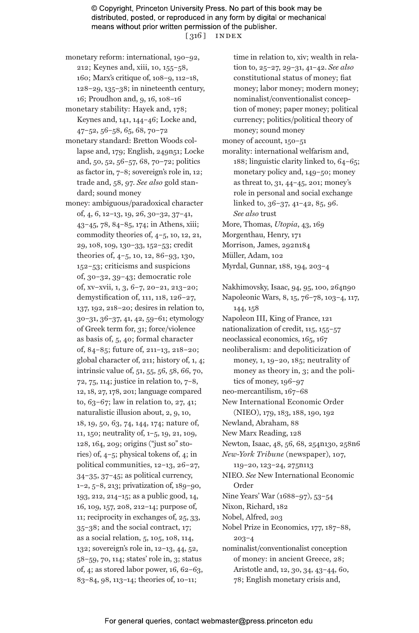© Copyright, Princeton University Press. No part of this book may be distributed, posted, or reproduced in any form by digital or mechanical means without prior written permission of the publisher. [ 316 ] index

- monetary reform: international, 190–92, 212; Keynes and, xiii, 10, 155–58, 160; Marx's critique of, 108–9, 112–18, 128–29, 135–38; in nineteenth century, 16; Proudhon and, 9, 16, 108–16
- monetary stability: Hayek and, 178; Keynes and, 141, 144–46; Locke and, 47–52, 56–58, 65, 68, 70–72
- monetary standard: Bretton Woods collapse and, 179; English, 249n51; Locke and, 50, 52, 56–57, 68, 70–72; politics as factor in, 7–8; sovereign's role in, 12; trade and, 58, 97. *See also* gold standard; sound money
- money: ambiguous/paradoxical character of, 4, 6, 12–13, 19, 26, 30–32, 37–41, 43–45, 78, 84–85, 174; in Athens, xiii; commodity theories of, 4–5, 10, 12, 21, 29, 108, 109, 130–33, 152–53; credit theories of, 4–5, 10, 12, 86–93, 130, 152–53; criticisms and suspicions of, 30–32, 39–43; democratic role of, xv–xvii, 1, 3, 6–7, 20–21, 213–20; demystification of, 111, 118, 126–27, 137, 192, 218–20; desires in relation to, 30–31, 36–37, 41, 42, 59–61; etymology of Greek term for, 31; force/violence as basis of, 5, 40; formal character of, 84–85; future of, 211–13, 218–20; global character of, 211; history of, 1, 4; intrinsic value of, 51, 55, 56, 58, 66, 70, 72, 75, 114; justice in relation to, 7–8, 12, 18, 27, 178, 201; language compared to, 63–67; law in relation to, 27, 41; naturalistic illusion about, 2, 9, 10, 18, 19, 50, 63, 74, 144, 174; nature of, 11, 150; neutrality of, 1–5, 19, 21, 109, 128, 164, 209; origins ("just so" stories) of, 4–5; physical tokens of, 4; in political communities, 12–13, 26–27, 34–35, 37–45; as political currency, 1–2, 5–8, 213; privatization of, 189–90, 193, 212, 214–15; as a public good, 14, 16, 109, 157, 208, 212–14; purpose of, 11; reciprocity in exchanges of, 25, 33, 35–38; and the social contract, 17; as a social relation, 5, 105, 108, 114, 132; sovereign's role in, 12–13, 44, 52, 58–59, 70, 114; states' role in, 3; status of, 4; as stored labor power,  $16, 62-63$ , 83–84, 98, 113–14; theories of, 10–11;

time in relation to, xiv; wealth in relation to, 25–27, 29–31, 41–42. *See also* constitutional status of money; fiat money; labor money; modern money; nominalist/conventionalist conception of money; paper money; political currency; politics/political theory of money; sound money money of account, 150–51

morality: international welfarism and, 188; linguistic clarity linked to, 64–65; monetary policy and, 149–50; money as threat to, 31, 44–45, 201; money's role in personal and social exchange linked to, 36–37, 41–42, 85, 96. *See also* trust More, Thomas, *Utopia*, 43, 169

- Morgenthau, Henry, 171 Morrison, James, 292n184
- Müller, Adam, 102
- Myrdal, Gunnar, 188, 194, 203–4

Nakhimovsky, Isaac, 94, 95, 100, 264n90 Napoleonic Wars, 8, 15, 76–78, 103–4, 117, 144, 158 Napoleon III, King of France, 121 nationalization of credit, 115, 155–57 neoclassical economics, 165, 167 neoliberalism: and depoliticization of money, 1, 19–20, 185; neutrality of money as theory in, 3; and the politics of money, 196–97 neo-mercantilism, 167–68 New International Economic Order (NIEO), 179, 183, 188, 190, 192 Newland, Abraham, 88 New Marx Reading, 128 Newton, Isaac, 48, 56, 68, 254n130, 258n6 *New-York Tribune* (newspaper), 107, 119–20, 123–24, 275n113 NIEO. *See* New International Economic Order Nine Years' War (1688–97), 53–54 Nixon, Richard, 182 Nobel, Alfred, 203 Nobel Prize in Economics, 177, 187–88, 203–4 nominalist/conventionalist conception of money: in ancient Greece, 28; Aristotle and, 12, 30, 34, 43–44, 60, 78; English monetary crisis and,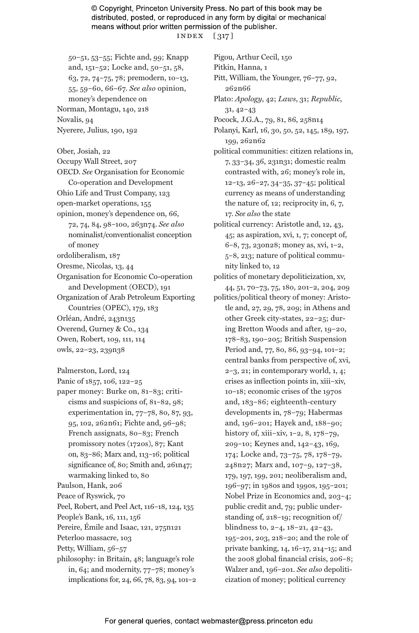© Copyright, Princeton University Press. No part of this book may be distributed, posted, or reproduced in any form by digital or mechanical means without prior written permission of the publisher. index [ 317 ]

50–51, 53–55; Fichte and, 99; Knapp and, 151–52; Locke and, 50–51, 58, 63, 72, 74–75, 78; premodern, 10–13, 55, 59–60, 66–67. *See also* opinion, money's dependence on Norman, Montagu, 140, 218 Novalis, 94 Nyerere, Julius, 190, 192

Ober, Josiah, 22 Occupy Wall Street, 207 OECD. *See* Organisation for Economic Co-operation and Development Ohio Life and Trust Company, 123 open-market operations, 155 opinion, money's dependence on, 66, 72, 74, 84, 98–100, 263n74. *See also* nominalist/conventionalist conception of money ordoliberalism, 187 Oresme, Nicolas, 13, 44 Organisation for Economic Co-operation and Development (OECD), 191 Organization of Arab Petroleum Exporting Countries (OPEC), 179, 183 Orléan, André, 243n135 Overend, Gurney & Co., 134 Owen, Robert, 109, 111, 114 owls, 22–23, 239n38

- Palmerston, Lord, 124
- Panic of 1857, 106, 122–25
- paper money: Burke on, 81–83; criticisms and suspicions of, 81–82, 98; experimentation in, 77–78, 80, 87, 93, 95, 102, 262n61; Fichte and, 96–98; French assignats, 80–83; French promissory notes (1720s), 87; Kant on, 83–86; Marx and, 113–16; political significance of, 80; Smith and, 261n47; warmaking linked to, 80
- Paulson, Hank, 206
- Peace of Ryswick, 70
- Peel, Robert, and Peel Act, 116–18, 124, 135
- People's Bank, 16, 111, 156
- Pereire, Émile and Isaac, 121, 275n121
- Peterloo massacre, 103
- Petty, William, 56–57
- philosophy: in Britain, 48; language's role in, 64; and modernity, 77–78; money's implications for, 24, 66, 78, 83, 94, 101–2

Pigou, Arthur Cecil, 150

- Pitkin, Hanna, 1
- Pitt, William, the Younger, 76–77, 92, 262n66
- Plato: *Apology*, 42; *Laws*, 31; *Republic*, 31, 42–43
- Pocock, J.G.A., 79, 81, 86, 258n14
- Polanyi, Karl, 16, 30, 50, 52, 145, 189, 197, 199, 262n62
- political communities: citizen relations in, 7, 33–34, 36, 231n31; domestic realm contrasted with, 26; money's role in, 12–13, 26–27, 34–35, 37–45; political currency as means of understanding the nature of, 12; reciprocity in, 6, 7, 17. *See also* the state
- political currency: Aristotle and, 12, 43, 45; as aspiration, xvi, 1, 7; concept of, 6–8, 73, 230n28; money as, xvi, 1–2, 5–8, 213; nature of political community linked to, 12
- politics of monetary depoliticization, xv, 44, 51, 70–73, 75, 180, 201–2, 204, 209
- politics/political theory of money: Aristotle and, 27, 29, 78, 209; in Athens and other Greek city-states, 22–25; during Bretton Woods and after, 19–20, 178–83, 190–205; British Suspension Period and, 77, 80, 86, 93–94, 101–2; central banks from perspective of, xvi,  $2-3$ ,  $21$ ; in contemporary world, 1, 4; crises as inflection points in, xiii–xiv, 10–18; economic crises of the 1970s and, 183–86; eighteenth-century developments in, 78–79; Habermas and, 196–201; Hayek and, 188–90; history of, xiii–xiv, 1–2, 8, 178–79, 209–10; Keynes and, 142–43, 169, 174; Locke and, 73–75, 78, 178–79, 248n27; Marx and, 107–9, 127–38, 179, 197, 199, 201; neoliberalism and, 196–97; in 1980s and 1990s, 195–201; Nobel Prize in Economics and, 203–4; public credit and, 79; public understanding of, 218–19; recognition of/ blindness to, 2–4, 18–21, 42–43, 195–201, 203, 218–20; and the role of private banking, 14, 16–17, 214–15; and the 2008 global financial crisis, 206–8; Walzer and, 196–201. *See also* depoliticization of money; political currency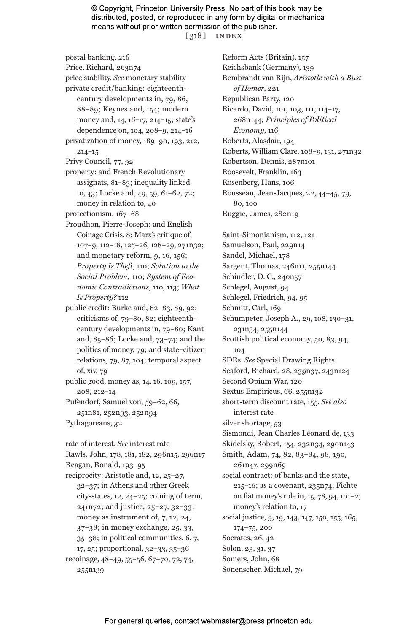© Copyright, Princeton University Press. No part of this book may be distributed, posted, or reproduced in any form by digital or mechanical means without prior written permission of the publisher. [ 318 ] index

postal banking, 216 Price, Richard, 263n74 price stability. *See* monetary stability private credit/banking: eighteenthcentury developments in, 79, 86, 88–89; Keynes and, 154; modern money and, 14, 16–17, 214–15; state's dependence on, 104, 208–9, 214–16 privatization of money, 189–90, 193, 212, 214–15 Privy Council, 77, 92 property: and French Revolutionary assignats, 81–83; inequality linked to, 43; Locke and, 49, 59, 61–62, 72; money in relation to, 40 protectionism, 167–68 Proudhon, Pierre-Joseph: and English Coinage Crisis, 8; Marx's critique of, 107–9, 112–18, 125–26, 128–29, 271n32; and monetary reform, 9, 16, 156; *Property Is Theft*, 110; *Solution to the Social Problem*, 110; *System of Economic Contradictions*, 110, 113; *What Is Property?* 112 public credit: Burke and, 82–83, 89, 92; criticisms of, 79–80, 82; eighteenthcentury developments in, 79–80; Kant and, 85–86; Locke and, 73–74; and the politics of money, 79; and state–citizen relations, 79, 87, 104; temporal aspect of, xiv, 79 public good, money as, 14, 16, 109, 157, 208, 212–14 Pufendorf, Samuel von, 59–62, 66, 251n81, 252n93, 252n94 Pythagoreans, 32 rate of interest. *See* interest rate Rawls, John, 178, 181, 182, 296n15, 296n17 Reagan, Ronald, 193–95 reciprocity: Aristotle and, 12, 25–27, 32–37; in Athens and other Greek city-states, 12, 24–25; coining of term, 241n72; and justice, 25–27, 32–33; money as instrument of, 7, 12, 24, 37–38; in money exchange, 25, 33, 35–38; in political communities, 6, 7, 17, 25; proportional, 32–33, 35–36 recoinage, 48–49, 55–56, 67–70, 72, 74, 255n139

Reform Acts (Britain), 157 Reichsbank (Germany), 139 Rembrandt van Rijn, *Aristotle with a Bust of Homer*, 221 Republican Party, 120 Ricardo, David, 101, 103, 111, 114–17, 268n144; *Principles of Political Economy*, 116 Roberts, Alasdair, 194 Roberts, William Clare, 108–9, 131, 271n32 Robertson, Dennis, 287n101 Roosevelt, Franklin, 163 Rosenberg, Hans, 106 Rousseau, Jean-Jacques, 22, 44–45, 79, 80, 100 Ruggie, James, 282n19 Saint-Simonianism, 112, 121 Samuelson, Paul, 229n14 Sandel, Michael, 178 Sargent, Thomas, 246n11, 255n144 Schindler, D. C., 240n57 Schlegel, August, 94 Schlegel, Friedrich, 94, 95 Schmitt, Carl, 169 Schumpeter, Joseph A., 29, 108, 130–31, 231n34, 255n144 Scottish political economy, 50, 83, 94, 104 SDRs. *See* Special Drawing Rights Seaford, Richard, 28, 239n37, 243n124 Second Opium War, 120 Sextus Empiricus, 66, 255n132 short-term discount rate, 155. *See also* interest rate silver shortage, 53 Sismondi, Jean Charles Léonard de, 133 Skidelsky, Robert, 154, 232n34, 290n143 Smith, Adam, 74, 82, 83–84, 98, 190, 261n47, 299n69 social contract: of banks and the state, 215–16; as a covenant, 235n74; Fichte on fiat money's role in, 15, 78, 94, 101–2; money's relation to, 17 social justice, 9, 19, 143, 147, 150, 155, 165, 174–75, 200 Socrates, 26, 42 Solon, 23, 31, 37 Somers, John, 68 Sonenscher, Michael, 79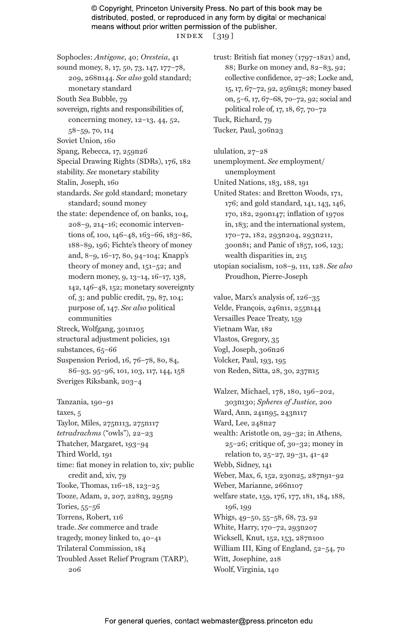© Copyright, Princeton University Press. No part of this book may be distributed, posted, or reproduced in any form by digital or mechanical means without prior written permission of the publisher. index [ 319 ]

Sophocles: *Antigone*, 40; *Oresteia*, 41 sound money, 8, 17, 50, 73, 147, 177–78, 209, 268n144. *See also* gold standard; monetary standard South Sea Bubble, 79 sovereign, rights and responsibilities of, concerning money, 12–13, 44, 52, 58–59, 70, 114 Soviet Union, 160 Spang, Rebecca, 17, 259n26 Special Drawing Rights (SDRs), 176, 182 stability. *See* monetary stability Stalin, Joseph, 160 standards. *See* gold standard; monetary standard; sound money the state: dependence of, on banks, 104, 208–9, 214–16; economic interventions of, 100, 146-48, 163-66, 183-86, 188–89, 196; Fichte's theory of money and, 8–9, 16–17, 80, 94–104; Knapp's theory of money and, 151–52; and modern money, 9, 13–14, 16–17, 138, 142, 146–48, 152; monetary sovereignty of, 3; and public credit, 79, 87, 104; purpose of, 147. *See also* political communities Streck, Wolfgang, 301n105 structural adjustment policies, 191 substances, 65–66 Suspension Period, 16, 76–78, 80, 84, 86–93, 95–96, 101, 103, 117, 144, 158 Sveriges Riksbank, 203–4

Tanzania, 190–91 taxes, 5 Taylor, Miles, 275n113, 275n117 *tetradrachms* ("owls"), 22–23 Thatcher, Margaret, 193–94 Third World, 191 time: fiat money in relation to, xiv; public credit and, xiv, 79 Tooke, Thomas, 116–18, 123–25 Tooze, Adam, 2, 207, 228n3, 295n9 Tories, 55–56 Torrens, Robert, 116 trade. *See* commerce and trade tragedy, money linked to, 40–41 Trilateral Commission, 184 Troubled Asset Relief Program (TARP), 206

trust: British fiat money (1797–1821) and, 88; Burke on money and, 82–83, 92; collective confidence, 27–28; Locke and, 15, 17, 67–72, 92, 256n158; money based on, 5–6, 17, 67–68, 70–72, 92; social and political role of, 17, 18, 67, 70–72 Tuck, Richard, 79 Tucker, Paul, 306n23

ululation, 27–28 unemployment. *See* employment/ unemployment United Nations, 183, 188, 191 United States: and Bretton Woods, 171, 176; and gold standard, 141, 143, 146, 170, 182, 290n147; inflation of 1970s in, 183; and the international system, 170–72, 182, 293n204, 293n211, 300n81; and Panic of 1857, 106, 123; wealth disparities in, 215 utopian socialism, 108–9, 111, 128. *See also* Proudhon, Pierre-Joseph

value, Marx's analysis of, 126–35 Velde, François, 246n11, 255n144 Versailles Peace Treaty, 159 Vietnam War, 182 Vlastos, Gregory, 35 Vogl, Joseph, 306n26 Volcker, Paul, 193, 195 von Reden, Sitta, 28, 30, 237n15

Walzer, Michael, 178, 180, 196–202, 303n130; *Spheres of Justice*, 200 Ward, Ann, 241n95, 243n117 Ward, Lee, 248n27 wealth: Aristotle on, 29–32; in Athens, 25–26; critique of, 30–32; money in relation to, 25–27, 29–31, 41–42 Webb, Sidney, 141 Weber, Max, 6, 152, 230n25, 287n91–92 Weber, Marianne, 266n107 welfare state, 159, 176, 177, 181, 184, 188, 196, 199 Whigs, 49–50, 55–58, 68, 73, 92 White, Harry, 170–72, 293n207 Wicksell, Knut, 152, 153, 287n100 William III, King of England, 52–54, 70 Witt, Josephine, 218 Woolf, Virginia, 140